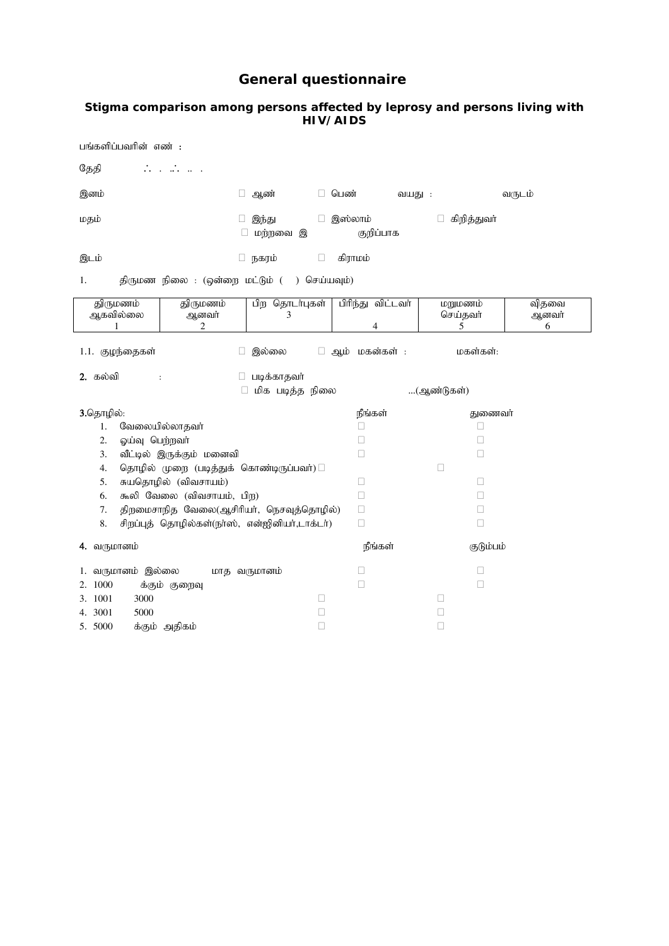# **General questionnaire**

#### **Stigma comparison among persons affected by leprosy and persons living with HIV/AIDS**

| பங்களிப்பவரின் எண் :                                            |                                                           |                                                |                        |                          |                     |  |  |  |  |
|-----------------------------------------------------------------|-----------------------------------------------------------|------------------------------------------------|------------------------|--------------------------|---------------------|--|--|--|--|
| தேதி                                                            | $\mathcal{L}^{\text{max}}$ and $\mathcal{L}^{\text{max}}$ |                                                |                        |                          |                     |  |  |  |  |
| இனம்                                                            |                                                           | ஆண்                                            | □ பெண்<br>வயது :       |                          | வருடம்              |  |  |  |  |
| மதம்                                                            |                                                           | இந்து<br>$\Box$<br>மந்நவை இ                    | இஸ்லாம்<br>குறிப்பாக   | கிறித்துவா்              |                     |  |  |  |  |
| கிராமம்<br>□ நகரம்<br>$\Box$<br>இடம்                            |                                                           |                                                |                        |                          |                     |  |  |  |  |
| 1.                                                              | திருமண நிலை : (ஒன்றை மட்டும் (<br>) செய்யவும்)            |                                                |                        |                          |                     |  |  |  |  |
| திருமணம்<br>ஆகவில்லை<br>1                                       | திருமணம்<br>ஆனவர்<br>2                                    | பிற தொடர்புகள்<br>3                            | பிரிந்து விட்டவர்<br>4 | மறுமணம்<br>செய்தவா்<br>5 | விதவை<br>ஆனவர்<br>6 |  |  |  |  |
| 1.1. குழந்தைகள்<br>இல்லை<br>ஆம் மகன்கள் :<br>மகள்கள்:<br>$\Box$ |                                                           |                                                |                        |                          |                     |  |  |  |  |
| 2. கல்வி<br>$\ddot{\cdot}$                                      |                                                           | □ படிக்காதவர்<br>மிக படித்த நிலை               |                        | (ஆண்டுகள்)               |                     |  |  |  |  |
| 3.தொழில்:                                                       |                                                           |                                                | நீங்கள்                | துணைவர்                  |                     |  |  |  |  |
| வேலையில்லாதவா்<br>1.                                            |                                                           |                                                | П                      | □                        |                     |  |  |  |  |
| 2.<br>ஓய்வு பெற்றவர்                                            |                                                           |                                                | $\mathbf{I}$           | Ш                        |                     |  |  |  |  |
| 3.                                                              | வீட்டில் இருக்கும் மனைவி                                  |                                                | □                      | □                        |                     |  |  |  |  |
| 4.                                                              |                                                           | தொழில் முறை (படித்துக் கொண்டிருப்பவர்)         |                        | П                        |                     |  |  |  |  |
| 5.                                                              | சுயதொழில் (விவசாயம்)                                      |                                                | ⊔                      | Ш                        |                     |  |  |  |  |
| 6.                                                              | கூலி வேலை (விவசாயம், பிற)                                 |                                                | П                      | П                        |                     |  |  |  |  |
| 7.                                                              |                                                           | திறமைசாநித வேலை(ஆசிரியர், நெசவுத்தொழில்)       | □                      | Ш                        |                     |  |  |  |  |
| 8.                                                              |                                                           | சிறப்புத் தொழில்கள்(நா்ஸ், என்ஐினியா்,டாக்டா்) | $\Box$                 | □                        |                     |  |  |  |  |
| 4. வருமானம்                                                     |                                                           |                                                | நீங்கள்                | குடும்பம்                |                     |  |  |  |  |
| 1. வருமானம் இல்லை                                               |                                                           | மாத வருமானம்                                   | $\mathbf{I}$           | П                        |                     |  |  |  |  |
| 1000<br>2.                                                      | க்கும் குறைவு                                             |                                                | $\Box$                 | Ш                        |                     |  |  |  |  |
| 3. 1001<br>3000                                                 |                                                           | $\Box$                                         |                        | $\Box$                   |                     |  |  |  |  |

4. 3001 5000 5.  $5000$  க்கும் அதிகம்  $\Box$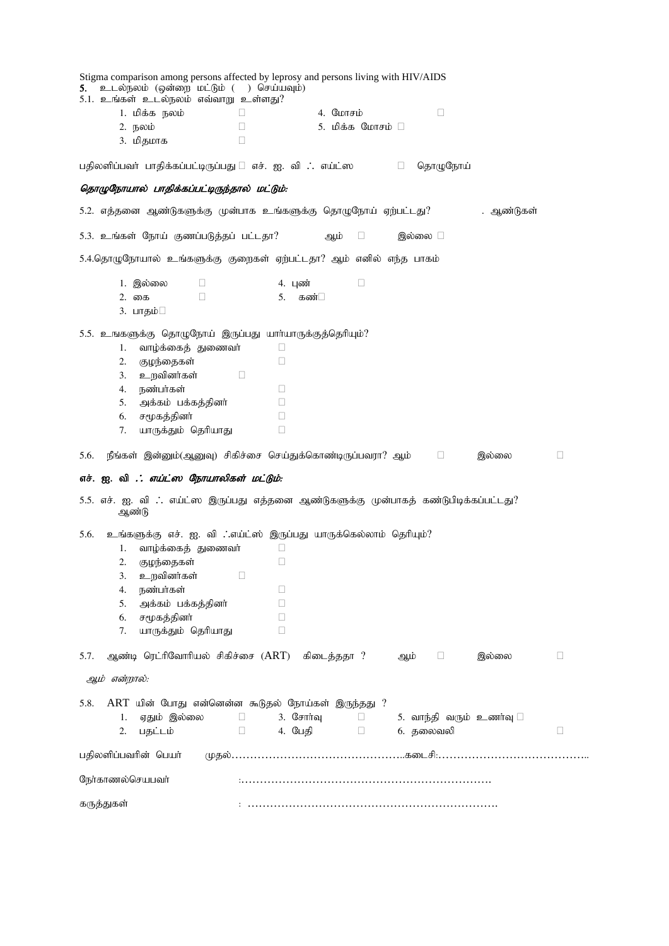| உடல்நலம் (ஒன்றை மட்டும் () செய்யவும்)<br>5.<br>5.1. உங்கள் உடல்நலம் எவ்வாறு உள்ளது? | Stigma comparison among persons affected by leprosy and persons living with HIV/AIDS                             |  |
|-------------------------------------------------------------------------------------|------------------------------------------------------------------------------------------------------------------|--|
| 1. மிக்க நலம்                                                                       | 4. மோசம்<br>$\Box$<br>П                                                                                          |  |
| 2. நலம்                                                                             | $\Box$<br>5. மிக்க மோசம் □                                                                                       |  |
| 3. மிதமாக                                                                           | П                                                                                                                |  |
|                                                                                     |                                                                                                                  |  |
| பதிலளிப்பவா் பாதிக்கப்பட்டிருப்பது □ எச். ஐ. வி ∴ எய்ட்ஸ                            | தொழுநோய்<br>and a state of the                                                                                   |  |
| தொழுநோயால் பாதிக்கப்பட்டிருந்தால் மட்டும்:                                          |                                                                                                                  |  |
|                                                                                     | 5.2. எத்தனை ஆண்டுகளுக்கு முன்பாக உங்களுக்கு தொழுநோய் ஏற்பட்டது?<br>. ஆண்டுகள்                                    |  |
| 5.3. உங்கள் நோய் குணப்படுத்தப் பட்டதா?                                              | இல்லை □<br>ஆம்<br>$\Box$                                                                                         |  |
|                                                                                     | 5.4.தொழுநோயால் உங்களுக்கு குறைகள் ஏற்பட்டதா? ஆம் எனில் எந்த பாகம்                                                |  |
| 1. இல்லை<br>□                                                                       | $\Box$<br>4. புண்                                                                                                |  |
| $\Box$<br>2. கை                                                                     | 5.<br>கண்⊟                                                                                                       |  |
| 3. பாதம்□                                                                           |                                                                                                                  |  |
| 5.5. உஙகளுக்கு தொழுநோய் இருப்பது யார்யாருக்குத்தெரியும்?                            |                                                                                                                  |  |
| வாழ்க்கைத் துணைவர்<br>1.                                                            | □                                                                                                                |  |
| குழந்தைகள்<br>2.                                                                    | $\Box$                                                                                                           |  |
| உறவினர்கள்<br>3.                                                                    | $\Box$                                                                                                           |  |
| நண்பர்கள்<br>4.                                                                     | $\Box$                                                                                                           |  |
| அக்கம் பக்கத்தினர்<br>5.                                                            | $\Box$                                                                                                           |  |
| சமூகத்தினர்<br>6.                                                                   | П                                                                                                                |  |
| யாருக்தும் தெரியாது<br>7.                                                           | □                                                                                                                |  |
|                                                                                     |                                                                                                                  |  |
| 5.6.                                                                                | நீங்கள் இன்னும்(ஆனுவு) சிகிச்சை செய்துக்கொண்டிருப்பவரா? ஆம் $\qquad \Box$<br>□<br>இல்லை                          |  |
| எச். ஐ. வி . <i>: எய்ட்ஸ நோயாலிகள் மட்டும்</i> :                                    |                                                                                                                  |  |
| ஆண்டு                                                                               | 5.5. எச். ஐ. வி எய்ட்ஸ இருப்பது எத்தனை ஆண்டுகளுக்கு முன்பாகத் கண்டுபிடிக்கப்பட்டது?                              |  |
| 5.6.                                                                                |                                                                                                                  |  |
| வாழ்க்கைத் துணைவர்<br>1.                                                            | உங்களுக்கு எச். ஐ. வி . எய்ட்ஸ் இருப்பது யாருக்கெல்லாம் தெரியும்?<br>Ц                                           |  |
| குழந்தைகள்<br>2.                                                                    | □                                                                                                                |  |
| உறவினர்கள்<br>3.                                                                    | $\hfill \square$                                                                                                 |  |
| 4.<br>நண்பர்கள்                                                                     |                                                                                                                  |  |
| அக்கம் பக்கத்தினர்<br>5.                                                            | П                                                                                                                |  |
| சமூகத்தினா்<br>6.                                                                   | $\mathbf{L}$                                                                                                     |  |
| யாருக்தும் தெரியாது<br>7.                                                           | □                                                                                                                |  |
| 5.7.                                                                                | ஆண்டி ரெட்ரிவோரியல் சிகிச்சை (ART) கிடைத்ததா ?<br>$\Box$<br>இல்லை<br>ஆம்<br>Ш                                    |  |
| ஆம் என்றால்:                                                                        |                                                                                                                  |  |
| 5.8.                                                                                |                                                                                                                  |  |
| ஏதும் இல்லை<br>1.                                                                   | ART யின் போது என்னென்ன கூடுதல் நோய்கள் இருந்தது ?<br>$3.$ $C \neq \pi \uparrow \neg a$<br>$\mathbf{L}$<br>$\Box$ |  |
| 2.<br>பதட்டம்                                                                       | 5. வாந்தி வரும் உணர்வு $\square$<br>4. பேதி<br>6. தலைவலி<br>□<br>$\Box$<br>Ш                                     |  |
| பதிலளிப்பவரின் பெயர்                                                                |                                                                                                                  |  |
| நேர்காணல்செயபவர்                                                                    |                                                                                                                  |  |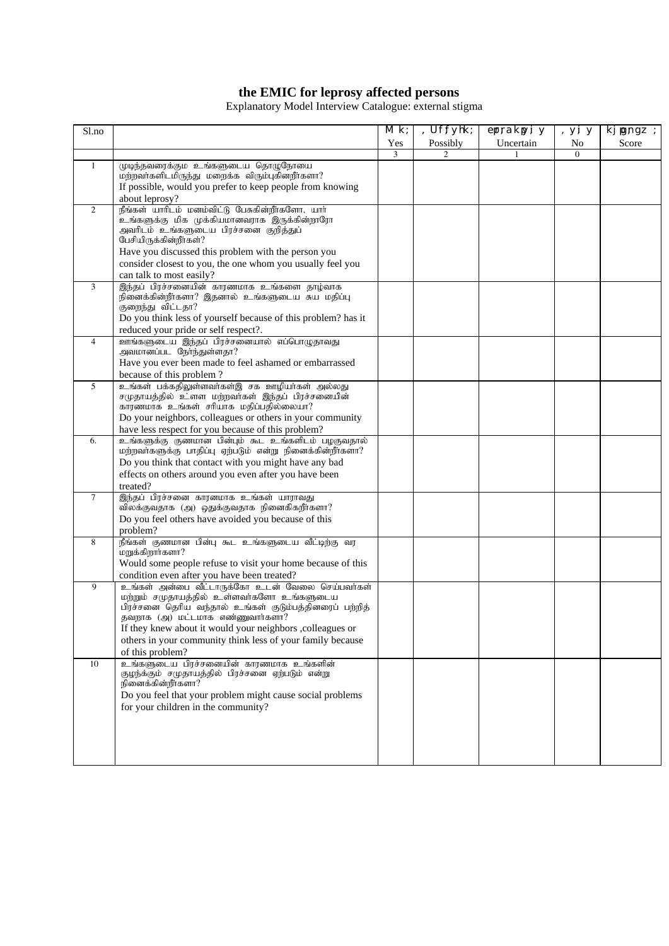#### **the EMIC for leprosy affected persons**

Explanatory Model Interview Catalogue: external stigma

| S1.no          |                                                                                                      | Mk; | Uf:fyhk; | errrakryi y | , уі у   | kj jg;ngz ; |
|----------------|------------------------------------------------------------------------------------------------------|-----|----------|-------------|----------|-------------|
|                |                                                                                                      | Yes | Possibly | Uncertain   | No       | Score       |
|                |                                                                                                      | 3   |          |             | $\Omega$ |             |
| 1              | முடிந்தவரைக்கும் உங்களுடைய தொழுநோயை                                                                  |     |          |             |          |             |
|                | மற்றவாகளிடமிருந்து மறைக்க விரும்புகினறாகளா?                                                          |     |          |             |          |             |
|                | If possible, would you prefer to keep people from knowing                                            |     |          |             |          |             |
|                | about leprosy?                                                                                       |     |          |             |          |             |
| 2              | நீங்கள் யாரிடம் மனம்விட்டு பேசுகின்றீர்களோ, யார்<br>.<br>உங்களுக்கு மிக முக்கியமானவராக இருக்கின்றாரோ |     |          |             |          |             |
|                | அவரிடம் உங்களுடைய பிரச்சனை குறித்துப்                                                                |     |          |             |          |             |
|                | பேசியிருக்கின்றீர்கள்?                                                                               |     |          |             |          |             |
|                | Have you discussed this problem with the person you                                                  |     |          |             |          |             |
|                | consider closest to you, the one whom you usually feel you                                           |     |          |             |          |             |
|                | can talk to most easily?                                                                             |     |          |             |          |             |
| 3              | இந்தப் பிரச்சனையின் காரணமாக உங்களை தாழ்வாக                                                           |     |          |             |          |             |
|                | .<br>நினைக்கின்றீர்களா? இதனால் உங்களுடைய சுய மதிப்பு<br>குறைந்து விட்டதா?                            |     |          |             |          |             |
|                | Do you think less of yourself because of this problem? has it                                        |     |          |             |          |             |
|                | reduced your pride or self respect?.                                                                 |     |          |             |          |             |
| $\overline{4}$ | ஊங்களுடைய இந்தப் பிரச்சனையால் எப்பொழுதாவது                                                           |     |          |             |          |             |
|                | அவமானப்பட நோந்துள்ளதா?                                                                               |     |          |             |          |             |
|                | Have you ever been made to feel ashamed or embarrassed                                               |     |          |             |          |             |
|                | because of this problem?                                                                             |     |          |             |          |             |
| 5              | உங்கள் பக்கதிலுள்ளவாகள்இ சக ஊழியா்கள் அல்லது                                                         |     |          |             |          |             |
|                | சமுதாயத்தில் உ்ளள மற்றவர்கள் இந்தப் பிரச்சனையின்<br>காரணமாக உங்கள் சரியாக மதிப்பதில்லையா?            |     |          |             |          |             |
|                | Do your neighbors, colleagues or others in your community                                            |     |          |             |          |             |
|                | have less respect for you because of this problem?                                                   |     |          |             |          |             |
| 6.             | உங்களுக்கு குணமான பின்பும் கூட உங்களிடம் பழகுவதால்                                                   |     |          |             |          |             |
|                | மற்றவாகளுக்கு பாதிப்பு ஏற்படும் என்று நினைக்கின்றீாகளா?                                              |     |          |             |          |             |
|                | Do you think that contact with you might have any bad                                                |     |          |             |          |             |
|                | effects on others around you even after you have been                                                |     |          |             |          |             |
| $\tau$         | treated?<br>இந்தப் பிரச்சனை காரனமாக உங்கள் யாராவது                                                   |     |          |             |          |             |
|                | விலக்குவதாக (அ) ஒதுக்குவதாக நினைகிகறீர்களா?                                                          |     |          |             |          |             |
|                | Do you feel others have avoided you because of this                                                  |     |          |             |          |             |
|                | problem?                                                                                             |     |          |             |          |             |
| 8              | நீங்கள் குணமான பின்பு கூட உங்களுடைய வீட்டிற்கு வர                                                    |     |          |             |          |             |
|                | .<br>மறுக்கிறார்களா?                                                                                 |     |          |             |          |             |
|                | Would some people refuse to visit your home because of this                                          |     |          |             |          |             |
|                | condition even after you have been treated?                                                          |     |          |             |          |             |
| 9              | உங்கள் அன்பை வீட்டாருக்கோ உடன் வேலை செய்பவர்கள்<br>மற்றும் சமுதாயத்தில் உள்ளவர்களோ உங்களுடைய         |     |          |             |          |             |
|                | பிரச்சனை தெரிய வந்தால் உங்கள் குடும்பத்தினரைப் பற்றித்                                               |     |          |             |          |             |
|                | தவறாக (அ) மட்டமாக எண்ணுவார்களா?                                                                      |     |          |             |          |             |
|                | If they knew about it would your neighbors, colleagues or                                            |     |          |             |          |             |
|                | others in your community think less of your family because                                           |     |          |             |          |             |
|                | of this problem?                                                                                     |     |          |             |          |             |
| 10             | உங்களுடைய பிரச்சனையின் காரணமாக உங்களின்                                                              |     |          |             |          |             |
|                | குழந்க்கும் சமுதாயத்தில் பிரச்சனை ஏற்படும் என்று<br>நினைக்கின்றீர்களா?                               |     |          |             |          |             |
|                | Do you feel that your problem might cause social problems                                            |     |          |             |          |             |
|                | for your children in the community?                                                                  |     |          |             |          |             |
|                |                                                                                                      |     |          |             |          |             |
|                |                                                                                                      |     |          |             |          |             |
|                |                                                                                                      |     |          |             |          |             |
|                |                                                                                                      |     |          |             |          |             |
|                |                                                                                                      |     |          |             |          |             |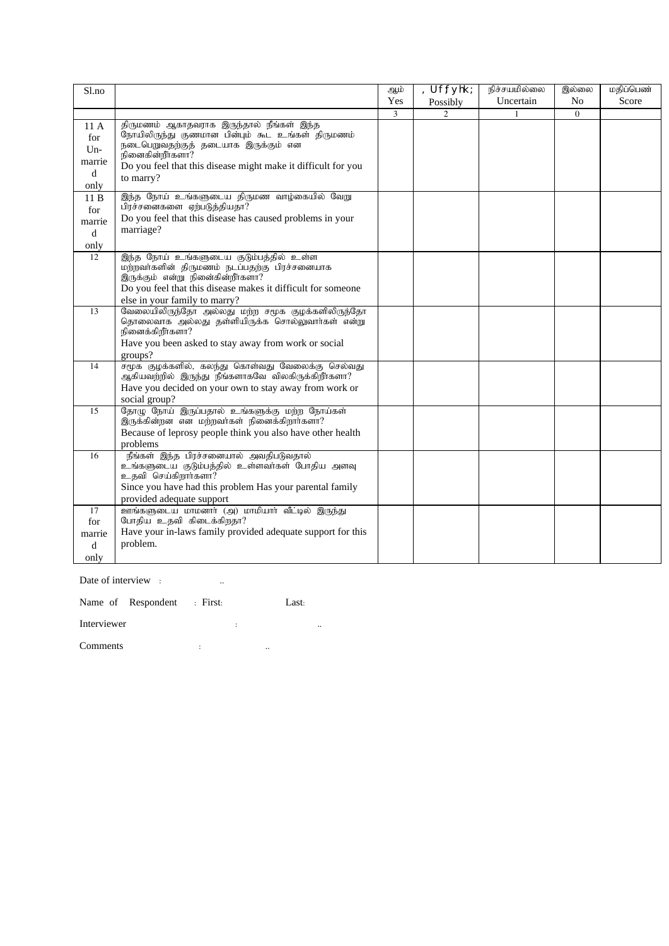| S1.no                                      |                                                                                                                                                                                                                                            | ஆம் | Uf;fyhk;       | நிச்சயமில்லை | இல்லை          | மதிப்பெண் |
|--------------------------------------------|--------------------------------------------------------------------------------------------------------------------------------------------------------------------------------------------------------------------------------------------|-----|----------------|--------------|----------------|-----------|
|                                            |                                                                                                                                                                                                                                            | Yes | Possibly       | Uncertain    | N <sub>o</sub> | Score     |
|                                            |                                                                                                                                                                                                                                            | 3   | $\overline{2}$ | $\mathbf{1}$ | $\Omega$       |           |
| 11A<br>for<br>$Un-$<br>marrie<br>d<br>only | திருமணம் ஆகாதவராக இருந்தால் நீங்கள் இந்த<br>நோயிலிருந்து குணமான பின்பும் கூட உங்கள் திருமணம்<br>நடைபெறுவதற்குத் தடையாக இருக்கும் என<br>.<br>நினைகின்றீா்களா?<br>Do you feel that this disease might make it difficult for you<br>to marry? |     |                |              |                |           |
| 11B<br>for<br>marrie<br>d<br>only          | இந்த நோய் உங்களுடைய திருமண வாழ்கையில் வேறு<br>பிரச்சனைகளை ஏற்படுத்தியதா?<br>Do you feel that this disease has caused problems in your<br>marriage?                                                                                         |     |                |              |                |           |
| 12                                         | இந்த நோய் உங்களுடைய குடும்பத்தில் உள்ள<br>மற்றவாகளின் திருமணம் நடப்பதற்கு பிரச்சனையாக<br>இருக்கும் என்று நினைகின்றீர்களா?<br>Do you feel that this disease makes it difficult for someone<br>else in your family to marry?                 |     |                |              |                |           |
| 13                                         | வேலையிலிருந்தோ அல்லது மற்ற சமூக குழக்களிலிருந்தோ<br>தொலைவாக அல்லது தள்ளியிருக்க சொல்லுவார்கள் என்று<br>நினைக்கிறீர்களா?<br>Have you been asked to stay away from work or social<br>groups?                                                 |     |                |              |                |           |
| 14                                         | சமூக குழக்களில், கலந்து கொள்வது வேலைக்கு செல்வது<br>ஆகியவற்றில் இருந்து நீங்களாகவே விலகிருக்கிறீர்களா?<br>Have you decided on your own to stay away from work or<br>social group?                                                          |     |                |              |                |           |
| 15                                         | தோழு நோய் இருப்பதால் உங்களுக்கு மற்ற நோய்கள்<br>இருக்கின்றன என மற்றவாகள் நினைக்கிறாா்களா?<br>Because of leprosy people think you also have other health<br>problems                                                                        |     |                |              |                |           |
| 16                                         | நீங்கள் இந்த பிரச்சனையால் அவதிபடுவதால்<br>உங்களுடைய குடும்பத்தில் உள்ளவர்கள் போதிய அளவு<br>உதவி செய்கிறார்களா?<br>Since you have had this problem Has your parental family<br>provided adequate support                                    |     |                |              |                |           |
| 17<br>for<br>marrie<br>$\mathbf d$<br>only | ஊங்களுடைய மாமனாா் (அ) மாமியாா் வீட்டில் இருந்து<br>போதிய உதவி கிடைக்கிறதா?<br>Have your in-laws family provided adequate support for this<br>problem.                                                                                      |     |                |              |                |           |
|                                            |                                                                                                                                                                                                                                            |     |                |              |                |           |

Date of interview : ...

Name of Respondent : First: Last:

Interviewer : ..

Comments : ..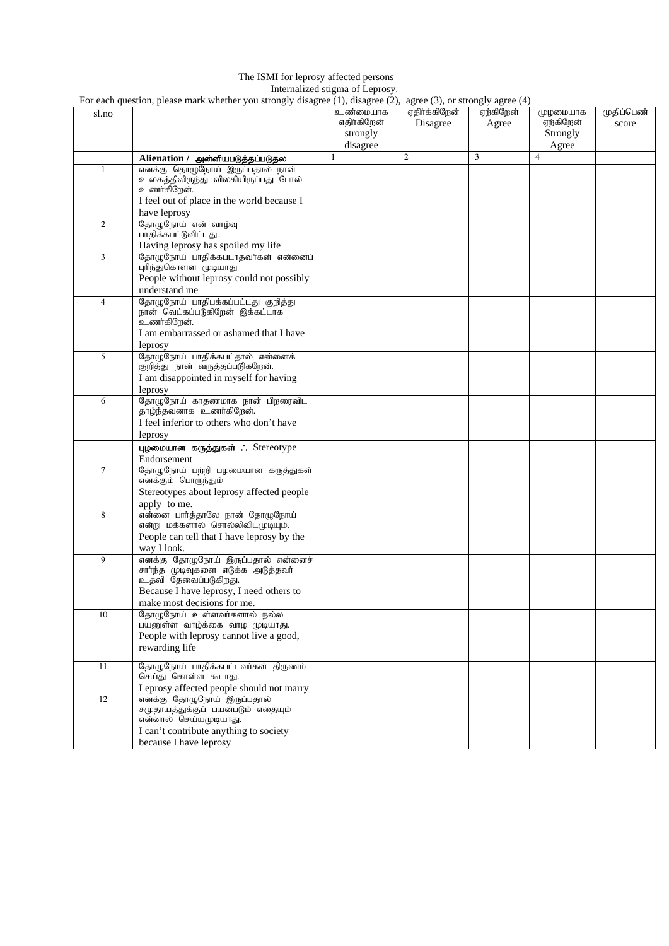#### The ISMI for leprosy affected persons Internalized stigma of Leprosy.

For each question, please mark whether you strongly disagree (1), disagree (2), agree (3), or strongly agree (4)

|                | For each question, please mark whether you strongly disagree (1), disagree (2), agree (3), or strongly agree (4)                                                            |                                                 |                           |                    |                                            |                     |
|----------------|-----------------------------------------------------------------------------------------------------------------------------------------------------------------------------|-------------------------------------------------|---------------------------|--------------------|--------------------------------------------|---------------------|
| sl.no          |                                                                                                                                                                             | உண்மையாக<br>எதிர்கிறேன்<br>strongly<br>disagree | ஏகிர்க்கிறேன்<br>Disagree | ஏற்கிறேன்<br>Agree | முழமையாக<br>ஏற்கிறேன்<br>Strongly<br>Agree | முதிப்பெண்<br>score |
|                | Alienation / அன்னியபடுத்தப்படுதல                                                                                                                                            | 1                                               | 2                         | 3                  | $\overline{4}$                             |                     |
| $\mathbf{1}$   | எனக்கு தொழுநோய் இருப்பதால் நான்<br>உலகத்திலிருந்து விலகியிருப்பது போல்<br>உணர்கிறேன்.<br>I feel out of place in the world because I<br>have leprosy                         |                                                 |                           |                    |                                            |                     |
| 2              | தோழுநோய் என் வாழ்வு<br>பாதிக்கபட்டுவிட்டது.<br>Having leprosy has spoiled my life                                                                                           |                                                 |                           |                    |                                            |                     |
| 3              | தோழுநோய் பாதிக்கபடாதவர்கள் என்னைப்<br>புரிந்துகொளள முடியாது<br>People without leprosy could not possibly<br>understand me                                                   |                                                 |                           |                    |                                            |                     |
| $\overline{4}$ | தோழுநோய் பாதிபக்கப்பட்டது குறித்து<br>நான் வெட்கப்படுகிறேன் இக்கட்டாக<br>உணர்கிறேன்.<br>I am embarrassed or ashamed that I have<br>leprosy                                  |                                                 |                           |                    |                                            |                     |
| 5              | தோழுநோய் பாதிக்கபட்தால் என்னைக்<br>குறித்து நான் வருத்தப்படுகறேன்.<br>I am disappointed in myself for having<br>leprosy                                                     |                                                 |                           |                    |                                            |                     |
| 6              | தோழுநோய் காதணமாக நான் பிறரைவிட<br>தாழ்ந்தவனாக உணர்கிறேன்.<br>I feel inferior to others who don't have<br>leprosy                                                            |                                                 |                           |                    |                                            |                     |
|                | புழமையான கருத்துகள் ∴ Stereotype<br>Endorsement                                                                                                                             |                                                 |                           |                    |                                            |                     |
| $\tau$         | தோழுநோய் பற்றி பழமையான கருத்துகள்<br>எனக்கும் பொருந்தும்<br>Stereotypes about leprosy affected people<br>apply to me.                                                       |                                                 |                           |                    |                                            |                     |
| 8              | என்னை பார்த்தாலே நான் தோழுநோய்<br>என்று மக்களால் சொல்லிவிடமுடியும்.<br>People can tell that I have leprosy by the<br>way I look.                                            |                                                 |                           |                    |                                            |                     |
| 9              | எனக்கு தோழுநோய் இருப்பதால் என்னைச்<br>சார்ந்த முடிவுகளை எடுக்க அடுத்தவர்<br>உதவி தேவைப்படுகிறது.<br>Because I have leprosy, I need others to<br>make most decisions for me. |                                                 |                           |                    |                                            |                     |
| 10             | தோழுநோய் உள்ளவர்களால் நல்ல<br>பயனுள்ள வாழ்க்கை வாழ முடியாது.<br>People with leprosy cannot live a good,<br>rewarding life                                                   |                                                 |                           |                    |                                            |                     |
| 11             | தோழுநோய் பாதிக்கபட்டவா்கள் திருணம்<br>செய்து கொள்ள கூடாது.<br>Leprosy affected people should not marry                                                                      |                                                 |                           |                    |                                            |                     |
| 12             | எனக்கு தோழுநோய் இருப்பதால்<br>சமுதாயத்துக்குப் பயன்படும் எதையும்<br>என்னால் செய்யமுடியாது.<br>I can't contribute anything to society<br>because I have leprosy              |                                                 |                           |                    |                                            |                     |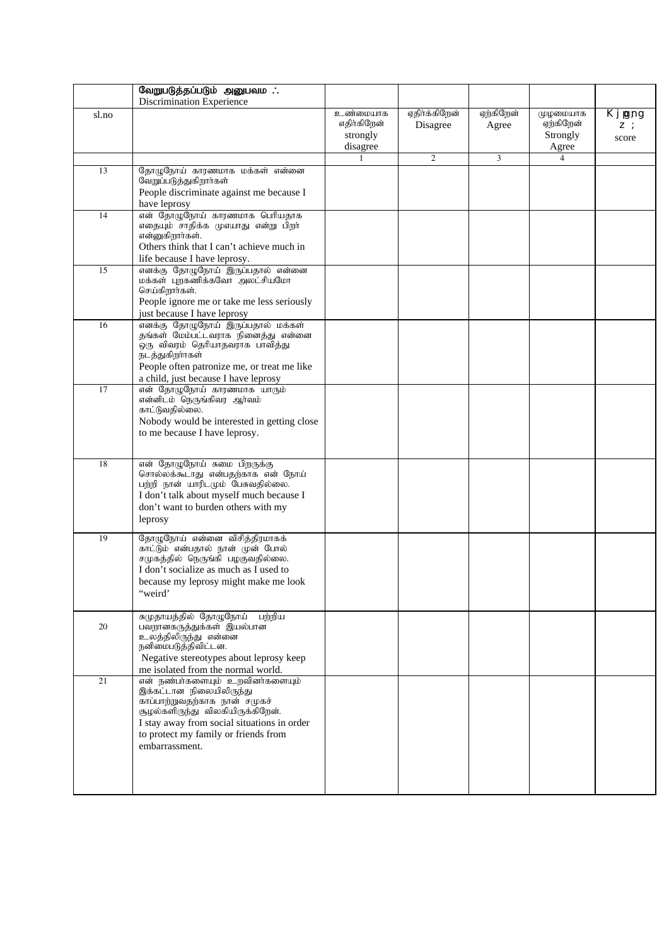|       | வேறுபடுத்தப்படும் அனுபவம                                                                                                                                                                                                                  |                                                 |                           |                    |                                            |                          |
|-------|-------------------------------------------------------------------------------------------------------------------------------------------------------------------------------------------------------------------------------------------|-------------------------------------------------|---------------------------|--------------------|--------------------------------------------|--------------------------|
|       | Discrimination Experience                                                                                                                                                                                                                 |                                                 |                           |                    |                                            |                          |
| sl.no |                                                                                                                                                                                                                                           | உண்மையாக<br>எதிர்கிறேன்<br>strongly<br>disagree | ஏதிர்க்கிறேன்<br>Disagree | ஏற்கிறேன்<br>Agree | முழமையாக<br>ஏற்கிறேன்<br>Strongly<br>Agree | Kjpgng<br>$Z$ :<br>score |
|       |                                                                                                                                                                                                                                           |                                                 | $\overline{c}$            | 3                  | 4                                          |                          |
| 13    | தோழுநோய் காரணமாக மக்கள் என்னை<br>வேறுப்படுத்துகிறாா்கள்<br>People discriminate against me because I<br>have leprosy                                                                                                                       |                                                 |                           |                    |                                            |                          |
| 14    | என் தோழுநோய் காரணமாக பெரியதாக<br>எதையும் சாதிக்க முஎயாது என்று பிறா்<br>என்னுகிறார்கள்.<br>Others think that I can't achieve much in<br>life because I have leprosy.                                                                      |                                                 |                           |                    |                                            |                          |
| 15    | எனக்கு தோழுநோய் இருப்பதால் என்னை<br>மக்கள் புறகணிக்கவோ அலட்சியமோ<br>செய்கிறார்கள்.<br>People ignore me or take me less seriously<br>just because I have leprosy                                                                           |                                                 |                           |                    |                                            |                          |
| 16    | எனக்கு தோழுநோய் இருப்பதால் மக்கள்<br>தங்கள் மேம்பட்டவராக நினைத்து என்னை<br>.<br>ஒரு விவரம் தெரியாதவராக பாவித்து<br>நடத்துகிறாாகள்<br>People often patronize me, or treat me like<br>a child, just because I have leprosy                  |                                                 |                           |                    |                                            |                          |
| 17    | என் தோழுநோய் காரணமாக யாரும்<br>என்னிடம் நெருங்கிவர ஆர்வம்<br>காட்டுவதில்லை.<br>Nobody would be interested in getting close<br>to me because I have leprosy.                                                                               |                                                 |                           |                    |                                            |                          |
| 18    | என் தோழுநோய் சுமை பிறருக்கு<br>சொல்லக்கூடாது என்பதற்காக என் நோய்<br>பற்றி நான் யாரிடமும் பேசுவதில்லை.<br>I don't talk about myself much because I<br>don't want to burden others with my<br>leprosy                                       |                                                 |                           |                    |                                            |                          |
| 19    | தோழுநோய் என்னை விசித்திரமாகக்<br>காட்டும் என்பதால் நான் முன் போல்<br>சமுகத்தில் நெருங்கி பழகுவதில்லை.<br>I don't socialize as much as I used to<br>because my leprosy might make me look<br>"weird"                                       |                                                 |                           |                    |                                            |                          |
| 20    | சுமுதாயத்தில் தோழுநோய்<br>பற்றிய<br>பவறானகருத்துக்கள் இயல்பான<br>உலத்திலிருந்து என்னை<br>நனிமைபடுத்திவிட்டன.<br>Negative stereotypes about leprosy keep<br>me isolated from the normal world.                                             |                                                 |                           |                    |                                            |                          |
| 21    | என் நண்பாகளையும் உறவினாகளையும்<br>இக்கட்டான நிலையிலிருந்து<br>காப்பாற்றுவதற்காக நான் சமுகச்<br>சூழல்களிருந்து விலகியிருக்கிறேன்.<br>I stay away from social situations in order<br>to protect my family or friends from<br>embarrassment. |                                                 |                           |                    |                                            |                          |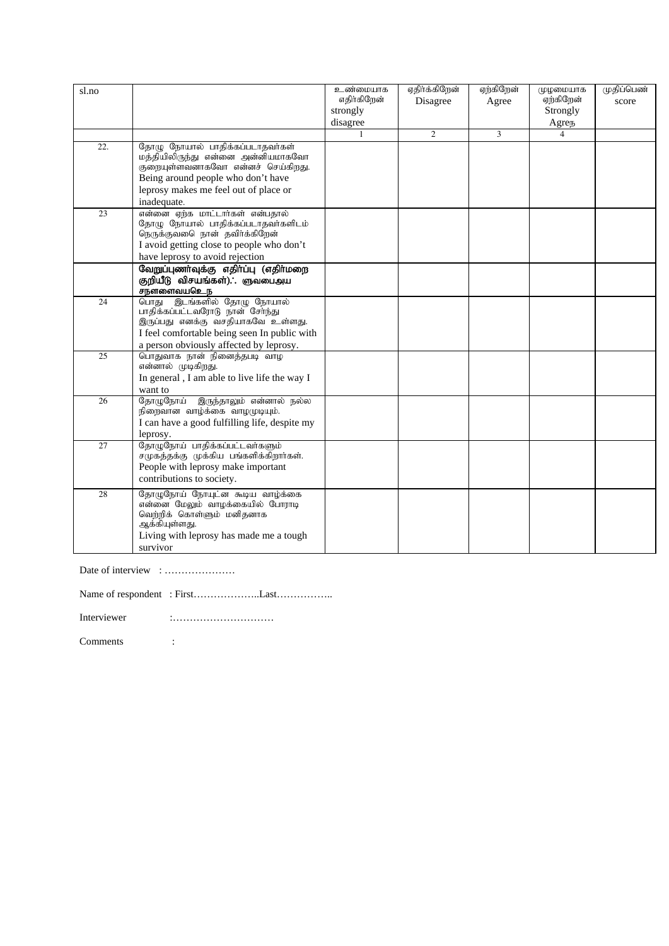| sl.no           |                                                                          | உண்மையாக                | ஏதிர்க்கிறேன்  | ஏற்கிறேன் | முழமையாக                 | முதிப்பெண் |
|-----------------|--------------------------------------------------------------------------|-------------------------|----------------|-----------|--------------------------|------------|
|                 |                                                                          | எதிர்கிறேன்<br>strongly | Disagree       | Agree     | ஏற்கிறேன்<br>Strongly    | score      |
|                 |                                                                          | disagree                |                |           | Agrep                    |            |
|                 |                                                                          | $\mathbf{1}$            | $\overline{c}$ | 3         | $\overline{\mathcal{L}}$ |            |
| 22.             | தோழு நோயால் பாதிக்கப்படாதவர்கள்                                          |                         |                |           |                          |            |
|                 | மத்தியிலிருந்து என்னை அன்னியமாகவோ                                        |                         |                |           |                          |            |
|                 | குறையுள்ளவனாகவோ என்னச் செய்கிறது.                                        |                         |                |           |                          |            |
|                 | Being around people who don't have                                       |                         |                |           |                          |            |
|                 | leprosy makes me feel out of place or                                    |                         |                |           |                          |            |
|                 | inadequate.                                                              |                         |                |           |                          |            |
| 23              | என்னை ஏற்க மாட்டார்கள் என்பதால்                                          |                         |                |           |                          |            |
|                 | தோழு நோயால் பாதிக்கப்படாதவர்களிடம்                                       |                         |                |           |                          |            |
|                 | நெருக்குவடை நான் தவிர்க்கிறேன்                                           |                         |                |           |                          |            |
|                 | I avoid getting close to people who don't                                |                         |                |           |                          |            |
|                 | have leprosy to avoid rejection<br>வேறுப்புணா்வுக்கு எதிா்ப்பு (எதிா்மறை |                         |                |           |                          |            |
|                 | குறியீடு விசயங்கள்). ஞவபைஅய                                              |                         |                |           |                          |            |
|                 | சநளளைவயஉெந                                                               |                         |                |           |                          |            |
| 24              | இடங்களில் தோழு நோயால்<br>பொது                                            |                         |                |           |                          |            |
|                 | பாதிக்கப்பட்டவரோடு நான் சேர்ந்து                                         |                         |                |           |                          |            |
|                 | இருப்பது எனக்கு வசதியாகவே உள்ளது.                                        |                         |                |           |                          |            |
|                 | I feel comfortable being seen In public with                             |                         |                |           |                          |            |
|                 | a person obviously affected by leprosy.                                  |                         |                |           |                          |            |
| $\overline{25}$ | பொதுவாக நான் நினைத்தபடி வாழ                                              |                         |                |           |                          |            |
|                 | என்னால் முடிகிறது.                                                       |                         |                |           |                          |            |
|                 | In general, I am able to live life the way I                             |                         |                |           |                          |            |
| $\overline{26}$ | want to<br>இருந்தாலும் என்னால் நல்ல<br>தோமு <b>நோ</b> ய்                 |                         |                |           |                          |            |
|                 | நிறைவான வாழ்க்கை வாழமுடியும்.                                            |                         |                |           |                          |            |
|                 | I can have a good fulfilling life, despite my                            |                         |                |           |                          |            |
|                 | leprosy.                                                                 |                         |                |           |                          |            |
| 27              | தோழுநோய் பாதிக்கப்பட்டவா்களும்                                           |                         |                |           |                          |            |
|                 | சமுகத்தக்கு முக்கிய பங்களிக்கிறார்கள்.                                   |                         |                |           |                          |            |
|                 | People with leprosy make important                                       |                         |                |           |                          |            |
|                 | contributions to society.                                                |                         |                |           |                          |            |
| 28              | தோழுநோய் நோயுட்ன கூடிய வாழ்க்கை                                          |                         |                |           |                          |            |
|                 | என்னை மேலும் வாழக்கையில் போராடி                                          |                         |                |           |                          |            |
|                 | வெற்றிக் கொள்ளும் மனிதனாக                                                |                         |                |           |                          |            |
|                 | ஆக்கியுள்ளது.                                                            |                         |                |           |                          |            |
|                 | Living with leprosy has made me a tough                                  |                         |                |           |                          |            |
|                 | survivor                                                                 |                         |                |           |                          |            |

Date of interview : …………………

Name of respondent : First………………..Last…………….. Interviewer :…………………………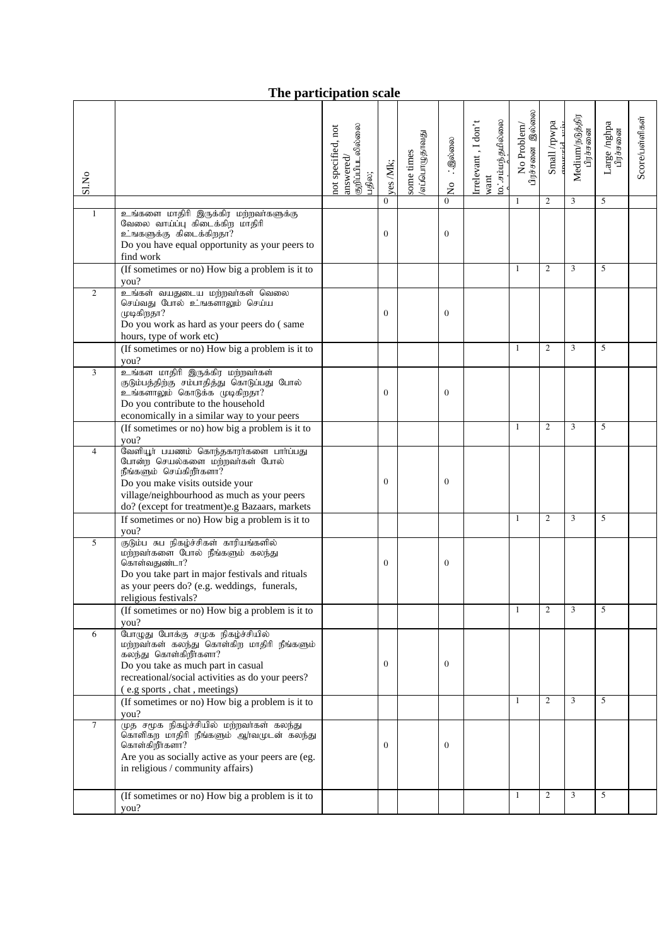## **The participation scale**

|                |                                                                                                                                                                                                                                  | குறிப்பிபடலில்லை<br>not specified, not |                | எப்பொழுதாவது | ். இல்லை                  | 0. சம்மந்தமில்லை<br>Irrelevant, I don't | பிரச்சனை இல்லை<br>No Problem/ | Small /rpwpa<br>murrid | Medium/நடுத்திர<br>பிரச்சனை | Large /nghpa<br>பிரச்சலை | $Score/L$ ள்ளிகள் |
|----------------|----------------------------------------------------------------------------------------------------------------------------------------------------------------------------------------------------------------------------------|----------------------------------------|----------------|--------------|---------------------------|-----------------------------------------|-------------------------------|------------------------|-----------------------------|--------------------------|-------------------|
| Sl.No          |                                                                                                                                                                                                                                  | answered/<br>பதில;                     | yes Mk;        | some times   |                           | want                                    |                               |                        |                             |                          |                   |
|                |                                                                                                                                                                                                                                  |                                        | $\Omega$       |              | $\frac{1}{2}$<br>$\Omega$ |                                         | 1                             | 2                      | 3                           | 5                        |                   |
| $\mathbf{1}$   | உங்களை மாதிரி இருக்கிர மற்றவர்களுக்கு                                                                                                                                                                                            |                                        |                |              |                           |                                         |                               |                        |                             |                          |                   |
|                | வேலை வாய்ப்பு கிடைக்கிற மாதிரி<br>உஙகளுக்கு கிடைக்கிறதா?<br>Do you have equal opportunity as your peers to<br>find work                                                                                                          |                                        | $\overline{0}$ |              | $\mathbf{0}$              |                                         |                               |                        |                             |                          |                   |
|                | (If sometimes or no) How big a problem is it to<br>you?                                                                                                                                                                          |                                        |                |              |                           |                                         | 1                             | $\overline{c}$         | 3                           | 5                        |                   |
| $\overline{2}$ | உங்கள் வயதுடைய மற்றவர்கள் வெலை<br>செய்வது போல் உங்களாலும் செய்ய<br>முடிகிறதா?<br>Do you work as hard as your peers do (same<br>hours, type of work etc)                                                                          |                                        | $\overline{0}$ |              | $\mathbf{0}$              |                                         |                               |                        |                             |                          |                   |
|                | (If sometimes or no) How big a problem is it to<br>you?                                                                                                                                                                          |                                        |                |              |                           |                                         | 1                             | $\mathfrak{2}$         | 3                           | 5                        |                   |
| 3              | .<br>உங்கள மாதிரி இருக்கிர மற்றவர்கள்<br>குடும்பத்திற்கு சம்பாதித்து கொடுப்பது போல்<br>உங்களாலும் கொடுக்க முடிகிறதா?<br>Do you contribute to the household<br>economically in a similar way to your peers                        |                                        | $\overline{0}$ |              | $\mathbf{0}$              |                                         |                               |                        |                             |                          |                   |
|                | (If sometimes or no) how big a problem is it to<br>you?                                                                                                                                                                          |                                        |                |              |                           |                                         | 1                             | $\overline{c}$         | 3                           | 5                        |                   |
| $\overline{4}$ | வேளியூர் பயணம் கொந்தகாரர்களை பார்ப்பது<br>போன்ற செயல்களை மற்றவர்கள் போல்<br>நீங்களும் செய்கிறீர்களா?<br>Do you make visits outside your<br>village/neighbourhood as much as your peers                                           |                                        | 0              |              | $\mathbf{0}$              |                                         |                               |                        |                             |                          |                   |
|                | do? (except for treatment)e.g Bazaars, markets                                                                                                                                                                                   |                                        |                |              |                           |                                         |                               |                        |                             |                          |                   |
|                | If sometimes or no) How big a problem is it to<br>you?                                                                                                                                                                           |                                        |                |              |                           |                                         | 1                             | $\overline{c}$         | 3                           | 5                        |                   |
| 5              | .<br>குடும்ப சுப நிகழ்ச்சிகள் காரியங்களில்<br>மற்றவாகளை போல் நீங்களும் கலந்து<br>கொள்வதுண்டா?<br>Do you take part in major festivals and rituals                                                                                 |                                        | 0              |              | $\mathbf{0}$              |                                         |                               |                        |                             |                          |                   |
|                | as your peers do? (e.g. weddings, funerals,<br>religious festivals?                                                                                                                                                              |                                        |                |              |                           |                                         |                               |                        |                             |                          |                   |
|                | (If sometimes or no) How big a problem is it to<br>you?                                                                                                                                                                          |                                        |                |              |                           |                                         | $\mathbf{1}$                  | 2                      | 3                           | 5                        |                   |
| 6              | போழுது போக்கு சமுக நிகழ்ச்சியில்<br>மற்றவாகள் கலந்து கொள்கிற மாதிரி நீங்களும்<br>கலந்து கொள்கிறீர்களா?<br>Do you take as much part in casual<br>recreational/social activities as do your peers?<br>(e.g sports, chat, meetings) |                                        | $\overline{0}$ |              | $\mathbf{0}$              |                                         |                               |                        |                             |                          |                   |
|                | (If sometimes or no) How big a problem is it to<br>you?                                                                                                                                                                          |                                        |                |              |                           |                                         | $\mathbf{1}$                  | $\overline{c}$         | 3                           | 5                        |                   |
| $\overline{7}$ | .<br>முத சமூக நிகழ்ச்சியில் மற்றவா்கள் கலந்து<br>கொளிகற மாதிரி நீங்களும் ஆர்வமுடன் கலந்து<br>கொள்கிறீர்களா?<br>Are you as socially active as your peers are (eg.<br>in religious / community affairs)                            |                                        | $\overline{0}$ |              | $\mathbf{0}$              |                                         |                               |                        |                             |                          |                   |
|                | (If sometimes or no) How big a problem is it to                                                                                                                                                                                  |                                        |                |              |                           |                                         | 1                             | $\overline{c}$         | 3                           | 5                        |                   |
|                | you?                                                                                                                                                                                                                             |                                        |                |              |                           |                                         |                               |                        |                             |                          |                   |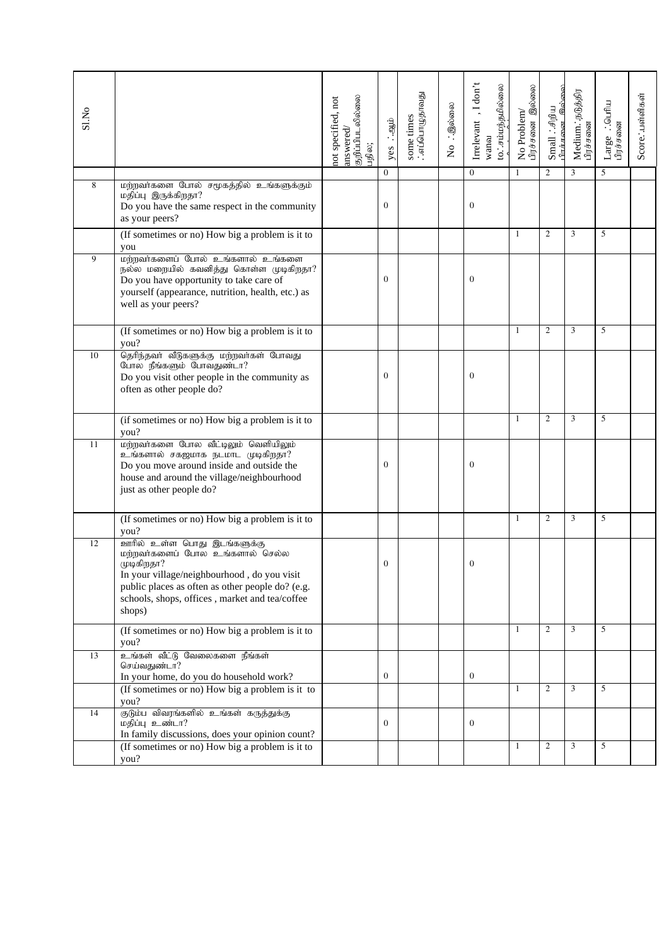| Sl.No |                                                                                                                                                                                                                                             | குறிப்பிபடலில்லை<br>not specified, not<br>answered/<br>பதில; | yes : agib   | some times<br>:எப்பொழுதாவது | No : இல்லை | Irrelevant, I don't<br>to. சம்மந்தமில்லை<br>wanou | பிரச்சனை இல்லை<br>No Problem/ | பிாச்சுனை இல்லை<br>$Smal : \mathcal{A}\mathfrak{g}$ | Medium. நடுத்திர<br>பிரச்சனை | $Large$ . : பெரிய $\mathop{\rm diag}\nolimits_{\theta}$ | Score. : பள்ளிகள் |
|-------|---------------------------------------------------------------------------------------------------------------------------------------------------------------------------------------------------------------------------------------------|--------------------------------------------------------------|--------------|-----------------------------|------------|---------------------------------------------------|-------------------------------|-----------------------------------------------------|------------------------------|---------------------------------------------------------|-------------------|
|       |                                                                                                                                                                                                                                             |                                                              | $\Omega$     |                             |            | $\Omega$                                          | $\mathbf{1}$                  | $\overline{c}$                                      | 3                            | 5                                                       |                   |
| 8     | மற்றவர்களை போல் சமூகத்தில் உங்களுக்கும்<br>மதிப்பு இருக்கிறதா?<br>Do you have the same respect in the community<br>as your peers?                                                                                                           |                                                              | $\mathbf{0}$ |                             |            | $\boldsymbol{0}$                                  |                               |                                                     |                              |                                                         |                   |
|       | (If sometimes or no) How big a problem is it to<br>you                                                                                                                                                                                      |                                                              |              |                             |            |                                                   | 1                             | $\overline{2}$                                      | 3                            | 5                                                       |                   |
| 9     | மற்றவர்களைப் போல் உங்களால் உங்களை<br>நல்ல மறையில் கவனித்து கொள்ள முடிகிறதா?<br>Do you have opportunity to take care of<br>yourself (appearance, nutrition, health, etc.) as<br>well as your peers?                                          |                                                              | $\Omega$     |                             |            | $\mathbf{0}$                                      |                               |                                                     |                              |                                                         |                   |
|       | (If sometimes or no) How big a problem is it to<br>you?                                                                                                                                                                                     |                                                              |              |                             |            |                                                   | $\mathbf{1}$                  | $\overline{2}$                                      | 3                            | 5                                                       |                   |
| 10    | தெரிந்தவர் வீடுகளுக்கு மற்றவர்கள் போவது<br>போல நீங்களும் போவதுண்டா?<br>Do you visit other people in the community as<br>often as other people do?                                                                                           |                                                              | $\mathbf{0}$ |                             |            | $\boldsymbol{0}$                                  |                               |                                                     |                              |                                                         |                   |
|       | (if sometimes or no) How big a problem is it to<br>you?                                                                                                                                                                                     |                                                              |              |                             |            |                                                   | 1                             | $\mathfrak{2}$                                      | 3                            | 5                                                       |                   |
| 11    | மற்றவாகளை போல வீட்டிலும் வெளியிலும்<br>உங்களால் சகஜமாக நடமாட முடிகிறதா?<br>Do you move around inside and outside the<br>house and around the village/neighbourhood<br>just as other people do?                                              |                                                              | $\Omega$     |                             |            | $\mathbf{0}$                                      |                               |                                                     |                              |                                                         |                   |
|       | (If sometimes or no) How big a problem is it to<br>you?                                                                                                                                                                                     |                                                              |              |                             |            |                                                   | $\mathbf{1}$                  | $\overline{2}$                                      | 3                            | 5                                                       |                   |
| 12    | ஊரில் உள்ள பொது இடங்களுக்கு<br>மற்றவர்களைப் போல உங்களால் செல்ல<br>முடிகிறதா?<br>In your village/neighbourhood, do you visit<br>public places as often as other people do? (e.g.<br>schools, shops, offices, market and tea/coffee<br>shops) |                                                              | $\mathbf{0}$ |                             |            | $\mathbf{0}$                                      |                               |                                                     |                              |                                                         |                   |
|       | (If sometimes or no) How big a problem is it to<br>you?                                                                                                                                                                                     |                                                              |              |                             |            |                                                   | 1                             | 2                                                   | 3                            | 5                                                       |                   |
| 13    | உங்கள் வீட்டு வேலைகளை நீங்கள்<br>செய்வதுண்டா?<br>In your home, do you do household work?                                                                                                                                                    |                                                              | $\bf{0}$     |                             |            | $\bf{0}$                                          |                               |                                                     |                              |                                                         |                   |
|       | (If sometimes or no) How big a problem is it to<br>you?                                                                                                                                                                                     |                                                              |              |                             |            |                                                   | 1                             | 2                                                   | $\mathfrak{Z}$               | 5                                                       |                   |
| 14    | குடும்ப விவரங்களில் உங்கள் கருத்துக்கு<br>மதிப்பு உண்டா?<br>In family discussions, does your opinion count?                                                                                                                                 |                                                              | $\mathbf{0}$ |                             |            | $\bf{0}$                                          |                               |                                                     |                              |                                                         |                   |
|       | (If sometimes or no) How big a problem is it to<br>you?                                                                                                                                                                                     |                                                              |              |                             |            |                                                   | $\mathbf{1}$                  | 2                                                   | 3                            | 5                                                       |                   |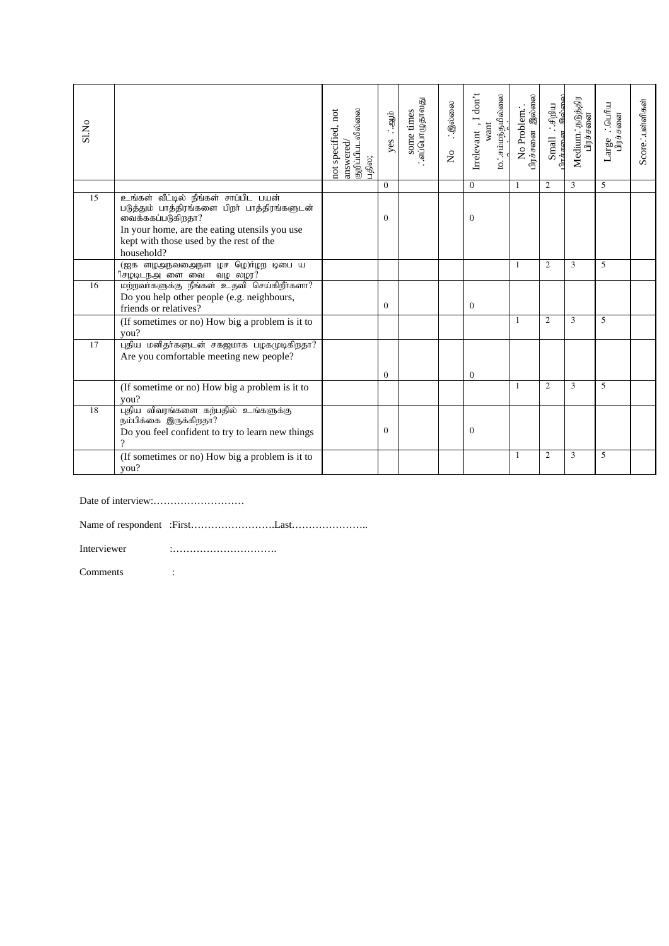| S1.No |                                                                                                                                                                                                                     | answered/<br>குறிப்பிபடலில்லை<br>not specified, not<br>பதில; | ்.<br>ஆம்.<br>yes | ்.எப்பொகுளவது<br>some times | ்.இல்லை<br>$\frac{1}{2}$ | Irrelevant, I don't<br>to. சம்மந்தமில்லை<br>want | பிரச்சனை இல்லை<br>No Problem. | Small <i>∴சி</i> றிய<br><del>பச்சுனை இல்லை</del><br>$\ln F$ $F$ $\infty$ $\infty$ | Medium.'.நடுத்திர<br>பிரச்சனை | Large ∴ெயரிய<br>பிரச்சனை | Score. :பள்ளிகள் |
|-------|---------------------------------------------------------------------------------------------------------------------------------------------------------------------------------------------------------------------|--------------------------------------------------------------|-------------------|-----------------------------|--------------------------|--------------------------------------------------|-------------------------------|-----------------------------------------------------------------------------------|-------------------------------|--------------------------|------------------|
|       |                                                                                                                                                                                                                     |                                                              | $\Omega$          |                             |                          | $\Omega$                                         | 1                             | 2                                                                                 | 3                             | 5                        |                  |
| 15    | உங்கள் வீட்டில் நீங்கள் சாப்பிட பயன்<br>படுத்தும் பாத்திரங்களை பிறா் பாத்திரங்களுடன்<br>வைக்ககப்படுகிறதா?<br>In your home, are the eating utensils you use<br>kept with those used by the rest of the<br>household? |                                                              | $\Omega$          |                             |                          | 0                                                |                               |                                                                                   |                               |                          |                  |
|       | (ஐக ளழஅநவதைநள் ழச ழெ)ர்ழற டிபை ய<br>ிசழடிடநஅனை வை வழ லழர?                                                                                                                                                           |                                                              |                   |                             |                          |                                                  | 1                             | $\overline{2}$                                                                    | 3                             | 5                        |                  |
| 16    | மற்றவாகளுக்கு நீங்கள் உதவி செய்கிறீாகளா?<br>Do you help other people (e.g. neighbours,                                                                                                                              |                                                              |                   |                             |                          |                                                  |                               |                                                                                   |                               |                          |                  |
|       | friends or relatives?                                                                                                                                                                                               |                                                              | $\Omega$          |                             |                          | $\Omega$                                         |                               |                                                                                   |                               |                          |                  |
|       | (If sometimes or no) How big a problem is it to<br>you?                                                                                                                                                             |                                                              |                   |                             |                          |                                                  | 1                             | 2                                                                                 | 3                             | 5                        |                  |
| 17    | புதிய மனிதர்களுடன் சகஜமாக பழகமுடிகிறதா?<br>Are you comfortable meeting new people?                                                                                                                                  |                                                              | $\mathbf{0}$      |                             |                          | $\mathbf{0}$                                     |                               |                                                                                   |                               |                          |                  |
|       | (If sometime or no) How big a problem is it to<br>vou?                                                                                                                                                              |                                                              |                   |                             |                          |                                                  | -1                            | 2                                                                                 | 3                             | 5                        |                  |
| 18    | புதிய விவரங்களை கற்பதில் உங்களுக்கு<br>நம்பிக்கை இருக்கிறதா?<br>Do you feel confident to try to learn new things                                                                                                    |                                                              | $\Omega$          |                             |                          | $\theta$                                         |                               |                                                                                   |                               |                          |                  |
|       | (If sometimes or no) How big a problem is it to<br>you?                                                                                                                                                             |                                                              |                   |                             |                          |                                                  | -1                            | $\mathbf{2}$                                                                      | 3                             | 5                        |                  |

Date of interview:………………………

Name of respondent :First…………………….Last…………………..

Interviewer :………………………….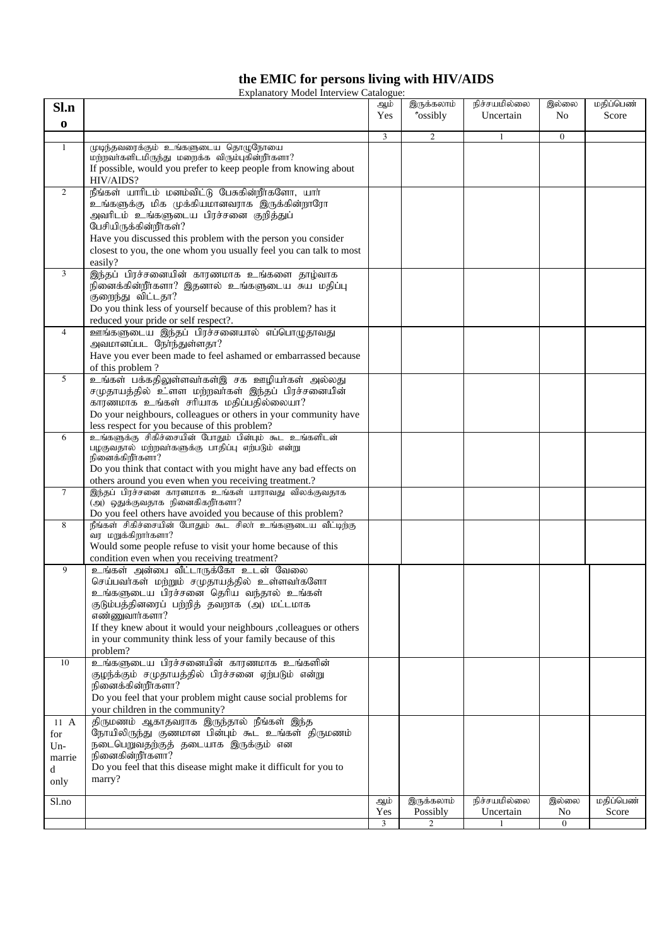# **the EMIC for persons living with HIV/AIDS**

| <b>Explanatory Model Interview Catalogue:</b> |  |
|-----------------------------------------------|--|
|                                               |  |
|                                               |  |

| Sl.n           |                                                                                                                                    | ஆம்<br>Yes | இருக்கலாம்<br><i>*</i> ossibly | நிச்சயமில்லை<br>Uncertain | இல்லை<br>N <sub>o</sub> | மதிப்பெண்<br>Score |
|----------------|------------------------------------------------------------------------------------------------------------------------------------|------------|--------------------------------|---------------------------|-------------------------|--------------------|
| $\bf{0}$       |                                                                                                                                    |            |                                |                           |                         |                    |
|                |                                                                                                                                    | 3          | $\mathfrak{2}$                 |                           | $\mathbf{0}$            |                    |
| 1              | முடிந்தவரைக்கும் உங்களுடைய தொழுநோயை<br>மற்றவாகளிடமிருந்து மறைக்க விரும்புகின்றீாகளா?                                               |            |                                |                           |                         |                    |
|                | If possible, would you prefer to keep people from knowing about<br>HIV/AIDS?                                                       |            |                                |                           |                         |                    |
| 2              | நீங்கள் யாரிடம் மனம்விட்டு பேசுகின்றீர்களோ, யார்                                                                                   |            |                                |                           |                         |                    |
|                | உங்களுக்கு மிக முக்கியமானவராக இருக்கின்றாரோ                                                                                        |            |                                |                           |                         |                    |
|                | அவரிடம் உங்களுடைய பிரச்சனை குறித்துப்                                                                                              |            |                                |                           |                         |                    |
|                | பேசியிருக்கின்றீர்கள்?                                                                                                             |            |                                |                           |                         |                    |
|                | Have you discussed this problem with the person you consider<br>closest to you, the one whom you usually feel you can talk to most |            |                                |                           |                         |                    |
|                | easily?                                                                                                                            |            |                                |                           |                         |                    |
| 3              | இந்தப் பிரச்சனையின் காரணமாக உங்களை தாழ்வாக                                                                                         |            |                                |                           |                         |                    |
|                | நினைக்கின்றீர்களா? இதனால் உங்களுடைய சுய மதிப்பு                                                                                    |            |                                |                           |                         |                    |
|                | குறைந்து விட்டதா?<br>Do you think less of yourself because of this problem? has it                                                 |            |                                |                           |                         |                    |
|                | reduced your pride or self respect?.                                                                                               |            |                                |                           |                         |                    |
| $\overline{4}$ | ஊங்களுடைய இந்தப் பிரச்சனையால் எப்பொழுதாவது                                                                                         |            |                                |                           |                         |                    |
|                | அவமானப்பட நேர்ந்துள்ளதா?                                                                                                           |            |                                |                           |                         |                    |
|                | Have you ever been made to feel ashamed or embarrassed because<br>of this problem?                                                 |            |                                |                           |                         |                    |
| 5              | உங்கள் பக்கதிலுள்ளவர்கள்இ சக ஊழியர்கள் அல்லது                                                                                      |            |                                |                           |                         |                    |
|                | சமுதாயத்தில் உ்ளள மற்றவர்கள் இந்தப் பிரச்சனையின்                                                                                   |            |                                |                           |                         |                    |
|                | காரணமாக உங்கள் சரியாக மதிப்பதில்லையா?                                                                                              |            |                                |                           |                         |                    |
|                | Do your neighbours, colleagues or others in your community have                                                                    |            |                                |                           |                         |                    |
| 6              | less respect for you because of this problem?<br>உங்களுக்கு சிகிச்சையின் போதும் பின்பும் கூட உங்களிடன்                             |            |                                |                           |                         |                    |
|                | பழகுவதால் மற்றவா்களுக்கு பாதிப்பு எற்படும் என்று                                                                                   |            |                                |                           |                         |                    |
|                | நினைக்கிறீாகளா?<br>Do you think that contact with you might have any bad effects on                                                |            |                                |                           |                         |                    |
|                | others around you even when you receiving treatment.?                                                                              |            |                                |                           |                         |                    |
| $\tau$         | இந்தப் பிரச்சனை காரனமாக உங்கள் யாராவது விலக்குவதாக                                                                                 |            |                                |                           |                         |                    |
|                | (அ) ஒதுக்குவதாக நினைகிகறீர்களா?<br>Do you feel others have avoided you because of this problem?                                    |            |                                |                           |                         |                    |
| 8              | நீங்கள் சிகிச்சையின் போதும் கூட சிலா உங்களுடைய வீட்டிற்கு                                                                          |            |                                |                           |                         |                    |
|                | ்வர மறுக்கிறார்களா?                                                                                                                |            |                                |                           |                         |                    |
|                | Would some people refuse to visit your home because of this<br>condition even when you receiving treatment?                        |            |                                |                           |                         |                    |
| 9              | உங்கள் அன்பை வீட்டாருக்கோ உடன் வேலை                                                                                                |            |                                |                           |                         |                    |
|                | செய்பவர்கள் மற்றும் சமுதாயத்தில் உள்ளவர்களோ                                                                                        |            |                                |                           |                         |                    |
|                | உங்களுடைய பிரச்சனை தெரிய வந்தால் உங்கள்                                                                                            |            |                                |                           |                         |                    |
|                | குடும்பத்தினரைப் பற்றித் தவறாக (அ) மட்டமாக<br>எண்ணுவார்களா?                                                                        |            |                                |                           |                         |                    |
|                | If they knew about it would your neighbours ,colleagues or others                                                                  |            |                                |                           |                         |                    |
|                | in your community think less of your family because of this                                                                        |            |                                |                           |                         |                    |
| 10             | problem?<br>உங்களுடைய பிரச்சனையின் காரணமாக உங்களின்                                                                                |            |                                |                           |                         |                    |
|                | குழந்க்கும் சமுதாயத்தில் பிரச்சனை ஏற்படும் என்று                                                                                   |            |                                |                           |                         |                    |
|                | நினைக்கின்றீர்களா?                                                                                                                 |            |                                |                           |                         |                    |
|                | Do you feel that your problem might cause social problems for                                                                      |            |                                |                           |                         |                    |
| $11 \text{ A}$ | your children in the community?<br>திருமணம் ஆகாதவராக இருந்தால் நீங்கள் இந்த                                                        |            |                                |                           |                         |                    |
| for            | நோயிலிருந்து குணமான பின்பும் கூட உங்கள் திருமணம்                                                                                   |            |                                |                           |                         |                    |
| $Un-$          | நடைபெறுவதற்குத் தடையாக இருக்கும் என                                                                                                |            |                                |                           |                         |                    |
| marrie         | நினைகின்றீர்களா?<br>Do you feel that this disease might make it difficult for you to                                               |            |                                |                           |                         |                    |
| d<br>only      | marry?                                                                                                                             |            |                                |                           |                         |                    |
|                |                                                                                                                                    |            |                                |                           |                         |                    |
| Sl.no          |                                                                                                                                    | ஆம்<br>Yes | இருக்கலாம்<br>Possibly         | நிச்சயமில்லை<br>Uncertain | இல்லை<br>No             | மதிப்பெண்<br>Score |
|                |                                                                                                                                    | 3          | $\overline{2}$                 |                           | $\overline{0}$          |                    |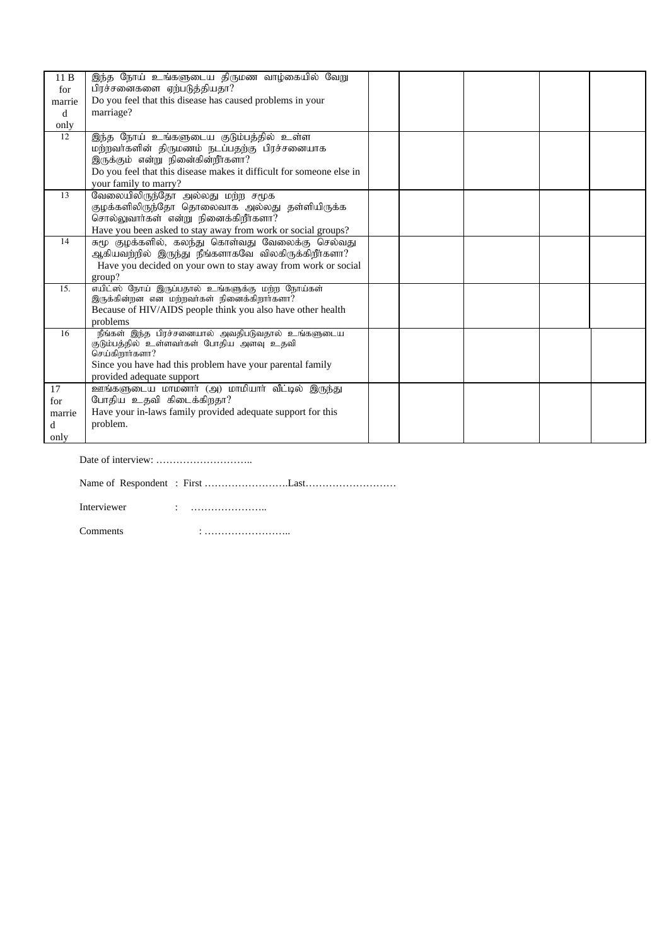| 11B    | இந்த நோய் உங்களுடைய திருமண வாழ்கையில் வேறு                           |  |  |  |
|--------|----------------------------------------------------------------------|--|--|--|
| for    | பிரச்சனைகளை ஏற்படுத்தியதா?                                           |  |  |  |
| marrie | Do you feel that this disease has caused problems in your            |  |  |  |
| d      | marriage?                                                            |  |  |  |
| only   |                                                                      |  |  |  |
| 12     | இந்த நோய் உங்களுடைய குடும்பத்தில் உள்ள                               |  |  |  |
|        | மற்றவர்களின் திருமணம் நடப்பதற்கு பிரச்சனையாக                         |  |  |  |
|        | இருக்கும் என்று நினை்கின்றீர்களா?                                    |  |  |  |
|        | Do you feel that this disease makes it difficult for someone else in |  |  |  |
|        | your family to marry?                                                |  |  |  |
| 13     | வேலையிலிருந்தோ அல்லது மற்ற சமூக                                      |  |  |  |
|        | குழக்களிலிருந்தோ தொலைவாக அல்லது தள்ளியிருக்க                         |  |  |  |
|        | சொல்லுவார்கள் என்று நினைக்கிறீர்களா?                                 |  |  |  |
|        | Have you been asked to stay away from work or social groups?         |  |  |  |
| 14     | சுமூ குழக்களில், கலந்து கொள்வது வேலைக்கு செல்வது                     |  |  |  |
|        | ஆகியவற்றில் இருந்து நீங்களாகவே விலகிருக்கிறீர்களா?                   |  |  |  |
|        | Have you decided on your own to stay away from work or social        |  |  |  |
|        | group?                                                               |  |  |  |
| 15.    | எயிட்ஸ் நோய் இருப்பதால் உங்களுக்கு மற்ற நோய்கள்                      |  |  |  |
|        | இருக்கின்றன என மற்றவர்கள் நினைக்கிறார்களா?                           |  |  |  |
|        | Because of HIV/AIDS people think you also have other health          |  |  |  |
|        | problems                                                             |  |  |  |
| 16     | நீங்கள் இந்த பிரச்சனையால் அவதிபடுவதால் உங்களுடைய                     |  |  |  |
|        | குடும்பத்தில் உள்ளவர்கள் போதிய அளவு உதவி<br>செய்கிறார்களா?           |  |  |  |
|        | Since you have had this problem have your parental family            |  |  |  |
|        |                                                                      |  |  |  |
|        | provided adequate support                                            |  |  |  |
| 17     | ஊங்களுடைய மாமனார் (அ) மாமியார் வீட்டில் இருந்து                      |  |  |  |
| for    | போதிய உதவி கிடைக்கிறதா?                                              |  |  |  |
| marrie | Have your in-laws family provided adequate support for this          |  |  |  |
| d      | problem.                                                             |  |  |  |
| only   |                                                                      |  |  |  |

Date of interview: ………………………..

Name of Respondent : First …………………….Last………………………

Interviewer : ……………………

Comments : ……………………..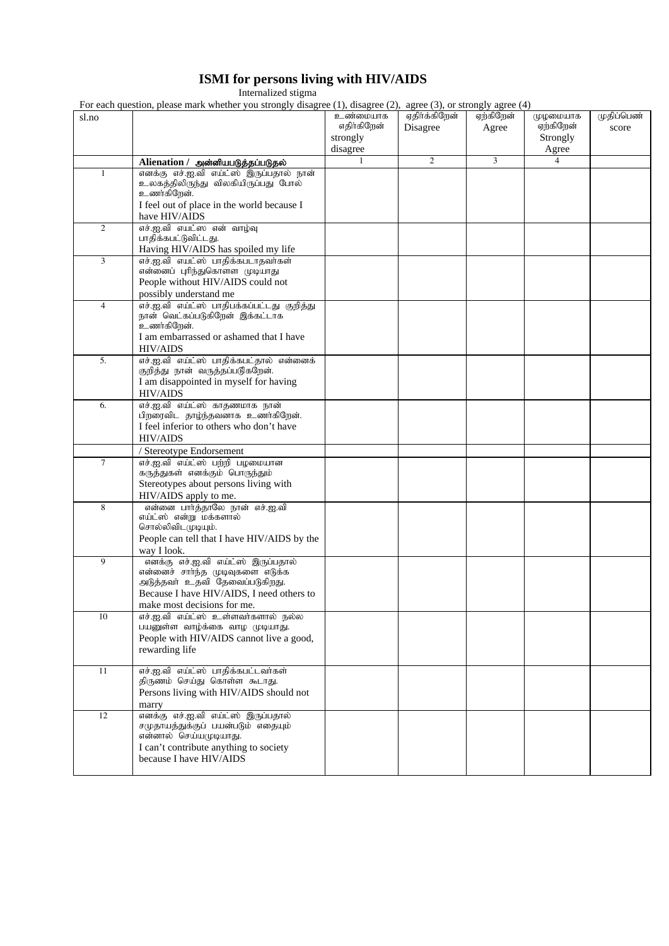### **ISMI for persons living with HIV/AIDS**

Internalized stigma

For each question, please mark whether you strongly disagree (1), disagree (2), agree (3), or strongly agree (4)

|                | For each question, please mark whether you strongly disagree (1), disagree (2), agree (5), or strongly agree (4)                   |                         |                           |                    |                       |                     |
|----------------|------------------------------------------------------------------------------------------------------------------------------------|-------------------------|---------------------------|--------------------|-----------------------|---------------------|
| sl.no          |                                                                                                                                    | உண்மையாக<br>எதிர்கிறேன் | ஏதிர்க்கிறேன்<br>Disagree | ஏற்கிறேன்<br>Agree | முழமையாக<br>ஏற்கிறேன் | முதிப்பெண்<br>score |
|                |                                                                                                                                    | strongly                |                           |                    | Strongly              |                     |
|                |                                                                                                                                    | disagree                |                           |                    | Agree                 |                     |
|                | Alienation / அன்னியபடுத்தப்படுதல்                                                                                                  | $\mathbf{1}$            | 2                         | 3                  | $\overline{4}$        |                     |
| 1              | எனக்கு எச்.ஐ.வி எய்ட்ஸ் இருப்பதால் நான்<br>உலகத்திலிருந்து விலகியிருப்பது போல்<br>உணர்கிறேன்.                                      |                         |                           |                    |                       |                     |
|                | I feel out of place in the world because I<br>have HIV/AIDS                                                                        |                         |                           |                    |                       |                     |
| 2              | எச்.ஐ.வி எயட்ஸ என் வாழ்வு<br>பாதிக்கபட்டுவிட்டது.<br>Having HIV/AIDS has spoiled my life                                           |                         |                           |                    |                       |                     |
| 3              | எச்.ஐ.வி எயட்ஸ் பாதிக்கபடாதவாகள்<br>என்னைப் புரிந்துகொளள முடியாது<br>People without HIV/AIDS could not                             |                         |                           |                    |                       |                     |
|                | possibly understand me                                                                                                             |                         |                           |                    |                       |                     |
| $\overline{4}$ | எச்.ஐ.வி எய்ட்ஸ் பாதிபக்கப்பட்டது குறித்து<br>நான் வெட்கப்படுகிறேன் இக்கட்டாக<br>உணர்கிறேன்.                                       |                         |                           |                    |                       |                     |
|                | I am embarrassed or ashamed that I have<br><b>HIV/AIDS</b>                                                                         |                         |                           |                    |                       |                     |
| 5.             | எச்.ஐ.வி எய்ட்ஸ் பாதிக்கபட்தால் என்னைக்<br>குறித்து நான் வருத்தப்படுகறேன்.                                                         |                         |                           |                    |                       |                     |
|                | I am disappointed in myself for having<br><b>HIV/AIDS</b>                                                                          |                         |                           |                    |                       |                     |
| 6.             | எச்.ஐ.வி எய்ட்ஸ் காதணமாக நான்<br>பிறரைவிட தாழ்ந்தவனாக உணர்கிறேன்.                                                                  |                         |                           |                    |                       |                     |
|                | I feel inferior to others who don't have<br><b>HIV/AIDS</b>                                                                        |                         |                           |                    |                       |                     |
|                | / Stereotype Endorsement                                                                                                           |                         |                           |                    |                       |                     |
| $\tau$         | எச்.ஐ.வி எய்ட்ஸ் பற்றி பழமையான<br>கருத்துகள் எனக்கும் பொருந்தும்                                                                   |                         |                           |                    |                       |                     |
|                | Stereotypes about persons living with<br>HIV/AIDS apply to me.                                                                     |                         |                           |                    |                       |                     |
| 8              | என்னை பார்த்தாலே நான் எச்.ஐ.வி<br>எய்ட்ஸ் என்று மக்களால்<br>சொல்லிவிடமுடியும்.                                                     |                         |                           |                    |                       |                     |
|                | People can tell that I have HIV/AIDS by the<br>way I look.                                                                         |                         |                           |                    |                       |                     |
| 9              | எனக்கு எச்.ஐ.வி எய்ட்ஸ் இருப்பதால்<br>என்னைச் சாா்ந்த முடிவுகளை எடுக்க<br>அடுத்தவர் உதவி தேவைப்படுகிறது.                           |                         |                           |                    |                       |                     |
|                | Because I have HIV/AIDS, I need others to<br>make most decisions for me.                                                           |                         |                           |                    |                       |                     |
| 10             | எச்.ஐ.வி எய்ட்ஸ் உள்ளவர்களால் நல்ல<br>பயனுள்ள வாழ்க்கை வாழ முடியாது.<br>People with HIV/AIDS cannot live a good,<br>rewarding life |                         |                           |                    |                       |                     |
| 11             | எச்.ஐ.வி எய்ட்ஸ் பாதிக்கபட்டவர்கள்                                                                                                 |                         |                           |                    |                       |                     |
|                | திருணம் செய்து கொள்ள கூடாது.<br>Persons living with HIV/AIDS should not<br>marry                                                   |                         |                           |                    |                       |                     |
| 12             | எனக்கு எச்.ஐ.வி எய்ட்ஸ் இருப்பதால்<br>சமுதாயத்துக்குப் பயன்படும் எதையும்                                                           |                         |                           |                    |                       |                     |
|                | என்னால் செய்யமுடியாது.<br>I can't contribute anything to society                                                                   |                         |                           |                    |                       |                     |
|                | because I have HIV/AIDS                                                                                                            |                         |                           |                    |                       |                     |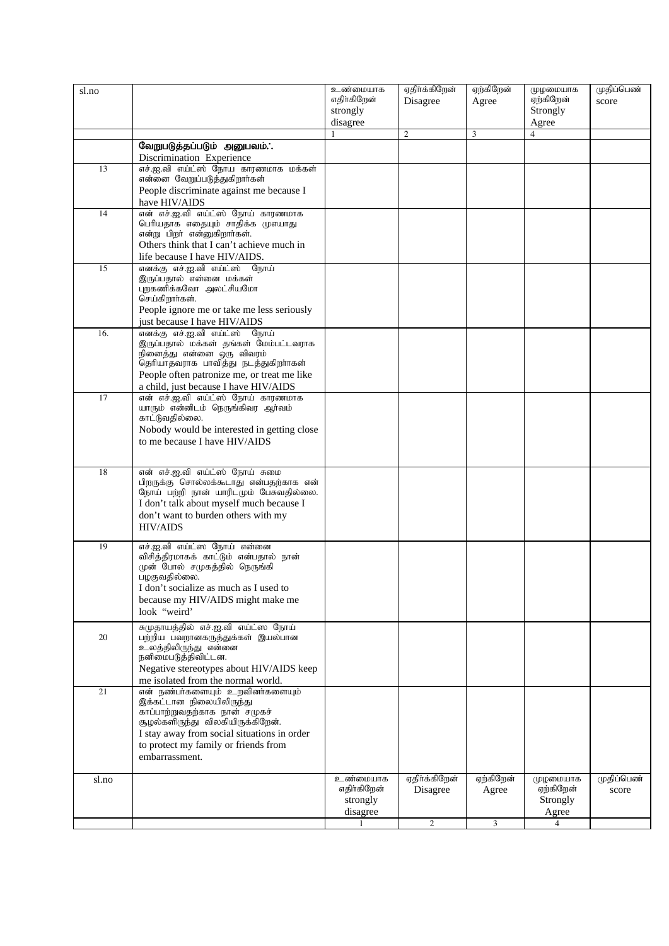| sl.no |                                                                                                                                                                                                                          | உண்மையாக<br>எதிர்கிறேன்<br>strongly | ஏதிர்க்கிறேன்<br>Disagree | ஏற்கிறேன்<br>Agree | முழமையாக<br>ஏற்கிறேன்<br>Strongly | முதிப்பெண்<br>score |
|-------|--------------------------------------------------------------------------------------------------------------------------------------------------------------------------------------------------------------------------|-------------------------------------|---------------------------|--------------------|-----------------------------------|---------------------|
|       |                                                                                                                                                                                                                          | disagree                            | 2                         | $\mathfrak{Z}$     | Agree<br>$\overline{4}$           |                     |
|       | வேறுபடுத்தப்படும் அனுபவம்.:                                                                                                                                                                                              |                                     |                           |                    |                                   |                     |
|       | Discrimination Experience                                                                                                                                                                                                |                                     |                           |                    |                                   |                     |
| 13    | எச்.ஐ.வி எய்ட்ஸ் நோய காரணமாக மக்கள்                                                                                                                                                                                      |                                     |                           |                    |                                   |                     |
|       | என்னை வேறுப்படுத்துகிறார்கள்                                                                                                                                                                                             |                                     |                           |                    |                                   |                     |
|       | People discriminate against me because I                                                                                                                                                                                 |                                     |                           |                    |                                   |                     |
|       | have HIV/AIDS                                                                                                                                                                                                            |                                     |                           |                    |                                   |                     |
| 14    | என் எச்.ஐ.வி எய்ட்ஸ் நோய் காரணமாக<br>பெரியதாக எதையும் சாதிக்க முஎயாது<br>என்று பிறர் என்னுகிறார்கள்.<br>Others think that I can't achieve much in                                                                        |                                     |                           |                    |                                   |                     |
|       | life because I have HIV/AIDS.                                                                                                                                                                                            |                                     |                           |                    |                                   |                     |
| 15    | எனக்கு எச்.ஐ.வி எய்ட்ஸ் நோய்<br>இருப்பதால் என்னை மக்கள்<br>புறகணிக்கவோ அலட்சியமோ<br>செய்கிறார்கள்.<br>People ignore me or take me less seriously                                                                         |                                     |                           |                    |                                   |                     |
| 16.   | just because I have HIV/AIDS<br>எனக்கு எச்.ஐ.வி எய்ட்ஸ் நோய்                                                                                                                                                             |                                     |                           |                    |                                   |                     |
|       | இருப்பதால் மக்கள் தங்கள் மேம்பட்டவராக<br>நினைத்து என்னை ஒரு விவரம்<br>தெரியாதவராக பாவித்து நடத்துகிறாாகள்<br>People often patronize me, or treat me like<br>a child, just because I have HIV/AIDS                        |                                     |                           |                    |                                   |                     |
| 17    | என் எச்.ஐ.வி எய்ட்ஸ் நோய் காரணமாக<br>யாரும் என்னிடம் நெருங்கிவர ஆர்வம்                                                                                                                                                   |                                     |                           |                    |                                   |                     |
|       | காட்டுவதில்லை.                                                                                                                                                                                                           |                                     |                           |                    |                                   |                     |
|       | Nobody would be interested in getting close                                                                                                                                                                              |                                     |                           |                    |                                   |                     |
|       | to me because I have HIV/AIDS                                                                                                                                                                                            |                                     |                           |                    |                                   |                     |
|       |                                                                                                                                                                                                                          |                                     |                           |                    |                                   |                     |
| 18    | என் எச்.ஐ.வி எய்ட்ஸ் நோய் சுமை                                                                                                                                                                                           |                                     |                           |                    |                                   |                     |
|       | பிறருக்கு சொல்லக்கூடாது என்பதற்காக என்<br>நோய் பற்றி நான் யாரிடமும் பேசுவதில்லை.<br>I don't talk about myself much because I<br>don't want to burden others with my<br><b>HIV/AIDS</b>                                   |                                     |                           |                    |                                   |                     |
| 19    | எச்.ஐ.வி எய்ட்ஸ நோய் என்னை<br>விசித்திரமாகக் காட்டும் என்பதால் நான்<br>முன் போல் சமுகத்தில் நெருங்கி<br>பழகுவதில்லை.<br>I don't socialize as much as I used to<br>because my HIV/AIDS might make me<br>look "weird"      |                                     |                           |                    |                                   |                     |
|       | சுமுதாயத்தில் எச்.ஐ.வி எய்ட்ஸ நோய்                                                                                                                                                                                       |                                     |                           |                    |                                   |                     |
| 20    | பற்றிய பவறானகருத்துக்கள் இயல்பான<br>உலத்திலிருந்து என்னை<br>நனிமைபடுத்திவிட்டன.<br>Negative stereotypes about HIV/AIDS keep<br>me isolated from the normal world.                                                        |                                     |                           |                    |                                   |                     |
| 21    | என் நண்பாகளையும் உறவினா்களையும்<br>இக்கட்டான நிலையிலிருந்து<br>காப்பாற்றுவதற்காக நான் சமுகச்<br>சூழல்களிருந்து விலகியிருக்கிறேன்.<br>I stay away from social situations in order<br>to protect my family or friends from |                                     |                           |                    |                                   |                     |
|       | embarrassment.                                                                                                                                                                                                           |                                     |                           |                    |                                   |                     |
|       |                                                                                                                                                                                                                          | உண்மையாக                            | ஏதிர்க்கிறேன்             | ஏற்கிறேன்          | முழமையாக                          | முதிப்பெண்          |
| sl.no |                                                                                                                                                                                                                          | எதிர்கிறேன்<br>strongly<br>disagree | Disagree                  | Agree              | ஏற்கிறேன்<br>Strongly<br>Agree    | score               |
|       |                                                                                                                                                                                                                          |                                     | $\overline{2}$            | 3                  | 4                                 |                     |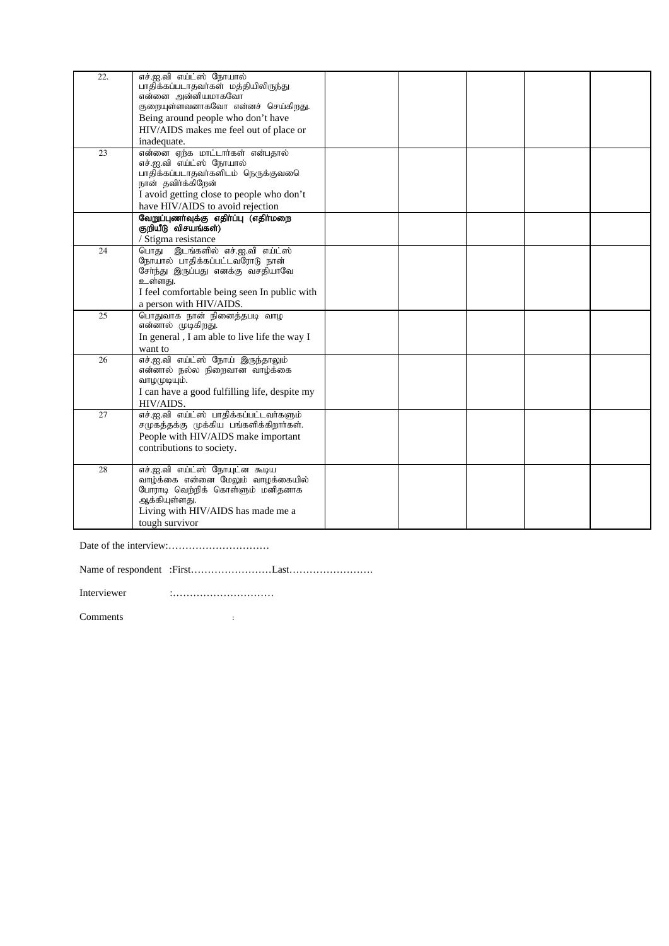| 22. | எச்.ஐ.வி எய்ட்ஸ் நோயால்<br>பாதிக்கப்படாதவா்கள் மத்தியிலிருந்து<br>என்னை அன்னியமாகவோ |  |  |  |
|-----|-------------------------------------------------------------------------------------|--|--|--|
|     | குறையுள்ளவனாகவோ என்னச் செய்கிறது.                                                   |  |  |  |
|     | Being around people who don't have                                                  |  |  |  |
|     | HIV/AIDS makes me feel out of place or                                              |  |  |  |
|     | inadequate.                                                                         |  |  |  |
| 23  | என்னை ஏற்க மாட்டார்கள் என்பதால்                                                     |  |  |  |
|     | எச்.ஐ.வி எய்ட்ஸ் நோயால்                                                             |  |  |  |
|     | பாதிக்கப்படாதவா்களிடம் நெருக்குவடை<br>நான் தவிர்க்கிறேன்                            |  |  |  |
|     | I avoid getting close to people who don't                                           |  |  |  |
|     | have HIV/AIDS to avoid rejection                                                    |  |  |  |
|     | வேறுப்புணர்வுக்கு எதிர்ப்பு (எதிர்மறை                                               |  |  |  |
|     | குறியீடு விசயங்கள்)                                                                 |  |  |  |
|     | / Stigma resistance                                                                 |  |  |  |
| 24  | பொது இடங்களில் எச்.ஐ.வி எய்ட்ஸ்                                                     |  |  |  |
|     | நோயால் பாதிக்கப்பட்டவரோடு நான்<br>சேர்ந்து இருப்பது எனக்கு வசதியாவே                 |  |  |  |
|     | உள்ளது.                                                                             |  |  |  |
|     | I feel comfortable being seen In public with                                        |  |  |  |
|     | a person with HIV/AIDS.                                                             |  |  |  |
| 25  | பொதுவாக நான் நினைத்தபடி வாழ                                                         |  |  |  |
|     | என்னால் முடிகிறது.                                                                  |  |  |  |
|     | In general, I am able to live life the way I                                        |  |  |  |
| 26  | want to<br>எச்.ஐ.வி எய்ட்ஸ் நோய் இருந்தாலும்                                        |  |  |  |
|     | என்னால் நல்ல நிறைவான வாழ்க்கை                                                       |  |  |  |
|     | வாழமுடியும்.                                                                        |  |  |  |
|     | I can have a good fulfilling life, despite my                                       |  |  |  |
|     | HIV/AIDS.                                                                           |  |  |  |
| 27  | எச்.ஐ.வி எய்ட்ஸ் பாதிக்கப்பட்டவர்களும்                                              |  |  |  |
|     | சமுகத்தக்கு முக்கிய பங்களிக்கிறார்கள்.                                              |  |  |  |
|     | People with HIV/AIDS make important                                                 |  |  |  |
|     | contributions to society.                                                           |  |  |  |
| 28  | எச்.ஐ.வி எய்ட்ஸ் நோயுட்ன கூடிய                                                      |  |  |  |
|     | வாழ்க்கை என்னை மேலும் வாழக்கையில்                                                   |  |  |  |
|     | போராடி வெற்றிக் கொள்ளும் மனிதனாக                                                    |  |  |  |
|     | ஆக்கியுள்ளது.                                                                       |  |  |  |
|     | Living with HIV/AIDS has made me a                                                  |  |  |  |
|     | tough survivor                                                                      |  |  |  |

Date of the interview:…………………………

Name of respondent :First……………………Last…………………….

Interviewer :…………………………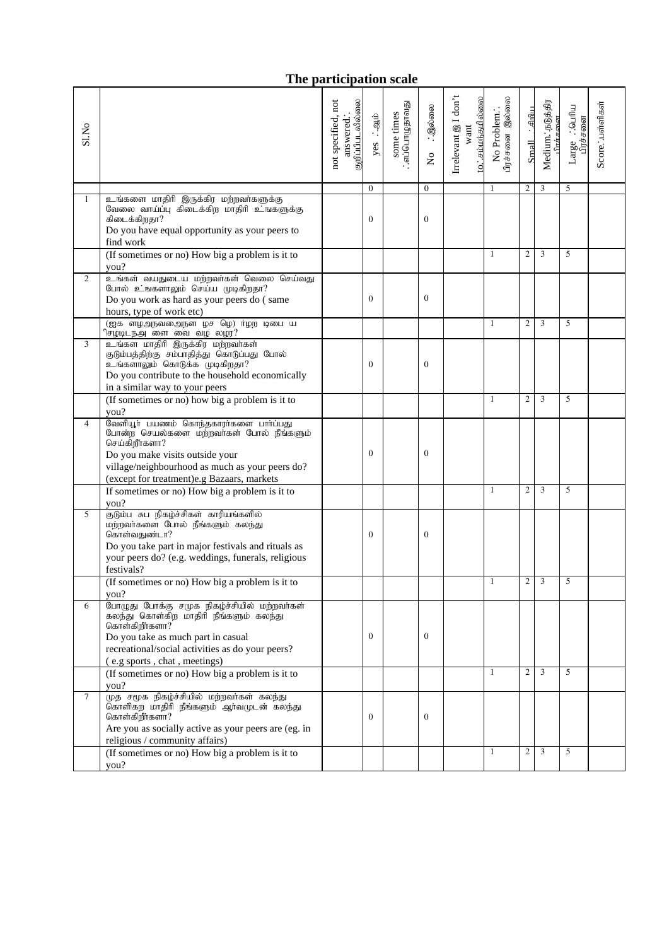### **The participation scale**

| Sl.No          |                                                                                                                                                                                                                                         | குறிப்பிபடலில்லை<br>not specified, not<br>answered. | ்.<br>ஆம்<br>yes | : .எப்பொழுதாவது<br>some times | ்.இல்லை<br>$\overline{a}$ | Irrelevant @ I don't<br><u>to:சம்மந்தமில்லை</u><br>$_{\rm{want}}$ | பிரச்சனை இல்லை<br>No Problem | Small ∴∉lmluı  | Medium. நடுத்திர<br>ிாச்சவை | Large : . Quiflu<br>பிரச்சனை | Score. : பள்ளிகள் |
|----------------|-----------------------------------------------------------------------------------------------------------------------------------------------------------------------------------------------------------------------------------------|-----------------------------------------------------|------------------|-------------------------------|---------------------------|-------------------------------------------------------------------|------------------------------|----------------|-----------------------------|------------------------------|-------------------|
|                |                                                                                                                                                                                                                                         |                                                     | $\Omega$         |                               | $\mathbf{0}$              |                                                                   | $\mathbf{1}$                 | $\mathfrak{2}$ | 3                           | 5                            |                   |
| 1              | உங்களை மாதிரி இருக்கிர மற்றவர்களுக்கு<br>வேலை வாய்ப்பு கிடைக்கிற மாதிரி உங்களுக்கு<br>கிடைக்கிறதா?<br>Do you have equal opportunity as your peers to<br>find work                                                                       |                                                     | $\theta$         |                               | $\mathbf{0}$              |                                                                   |                              |                |                             |                              |                   |
|                | (If sometimes or no) How big a problem is it to<br>you?                                                                                                                                                                                 |                                                     |                  |                               |                           |                                                                   | $\mathbf{1}$                 | $\overline{2}$ | 3                           | 5                            |                   |
| 2              | உங்கள் வயதுடைய மற்றவா்கள் வெலை செய்வது<br>போல் உங்களாலும் செய்ய முடிகிறதா?<br>Do you work as hard as your peers do (same<br>hours, type of work etc)                                                                                    |                                                     | $\theta$         |                               | $\mathbf{0}$              |                                                                   |                              |                |                             |                              |                   |
|                | (ஐக ளழஅநவதைநள ழச ழெ) ர்ழற டிபை ய<br>ிசழடிடநஅ ளை வை வழ லழர?                                                                                                                                                                              |                                                     |                  |                               |                           |                                                                   | $\mathbf{1}$                 | $\overline{2}$ | 3                           | 5                            |                   |
| 3              | உங்கள மாதிரி இருக்கிர மற்றவர்கள்<br>குடும்பத்திற்கு சம்பாதித்து கொடுப்பது போல்<br>உங்களாலும் கொடுக்க முடிகிறதா?<br>Do you contribute to the household economically<br>in a similar way to your peers                                    |                                                     | $\theta$         |                               | $\mathbf{0}$              |                                                                   |                              |                |                             |                              |                   |
|                | (If sometimes or no) how big a problem is it to<br>you?                                                                                                                                                                                 |                                                     |                  |                               |                           |                                                                   | $\mathbf{1}$                 | $\overline{2}$ | 3                           | 5                            |                   |
| $\overline{4}$ | வேளியூா் பயணம் கொந்தகாரா்களை பாா்ப்பது<br>போன்ற செயல்களை மற்றவாகள் போல் நீங்களும்<br>செய்கிறீர்களா?<br>Do you make visits outside your<br>village/neighbourhood as much as your peers do?<br>(except for treatment)e.g Bazaars, markets |                                                     | $\overline{0}$   |                               | $\mathbf{0}$              |                                                                   |                              |                |                             |                              |                   |
|                | If sometimes or no) How big a problem is it to<br>you?                                                                                                                                                                                  |                                                     |                  |                               |                           |                                                                   | $\mathbf{1}$                 | $\overline{2}$ | 3                           | 5                            |                   |
| 5              | குடும்ப சுப நிகழ்ச்சிகள் காரியங்களில்<br>மற்றவாகளை போல் நீங்களும் கலந்து<br>கொள்வதுண்டா?<br>Do you take part in major festivals and rituals as<br>your peers do? (e.g. weddings, funerals, religious<br>festivals?                      |                                                     | $\overline{0}$   |                               | $\mathbf{0}$              |                                                                   |                              |                |                             |                              |                   |
|                | (If sometimes or no) How big a problem is it to<br>you?                                                                                                                                                                                 |                                                     |                  |                               |                           |                                                                   | $\mathbf{1}$                 | $\sqrt{2}$     | 3                           | 5                            |                   |
| 6              | போழுது போக்கு சமுக நிகழ்ச்சியில் மற்றவர்கள்<br>கலந்து கொள்கிற மாதிரி நீங்களும் கலந்து<br>கொள்கிறீர்களா?<br>Do you take as much part in casual<br>recreational/social activities as do your peers?<br>(e.g sports, chat, meetings)       |                                                     | $\mathbf{0}$     |                               | $\mathbf{0}$              |                                                                   |                              |                |                             |                              |                   |
|                | (If sometimes or no) How big a problem is it to<br>you?                                                                                                                                                                                 |                                                     |                  |                               |                           |                                                                   | $\mathbf{1}$                 | $\mathfrak{2}$ | 3                           | 5                            |                   |
| $\tau$         | .<br>முத சமூக நிகழ்ச்சியில் மற்றவா்கள் கலந்து<br>கொளிகற மாதிரி நீங்களும் ஆர்வமுடன் கலந்து<br>கொள்கிறீர்களா?<br>Are you as socially active as your peers are (eg. in<br>religious / community affairs)                                   |                                                     | $\mathbf{0}$     |                               | $\mathbf{0}$              |                                                                   |                              |                |                             |                              |                   |
|                | (If sometimes or no) How big a problem is it to<br>you?                                                                                                                                                                                 |                                                     |                  |                               |                           |                                                                   | $\mathbf{1}$                 | $\overline{c}$ | 3                           | 5                            |                   |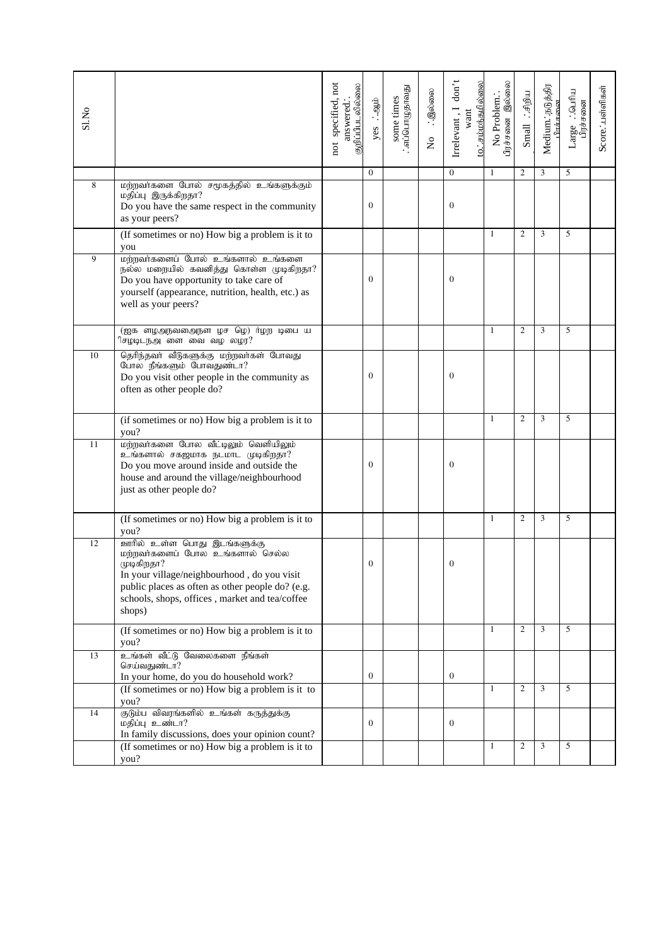| S1.No |                                                                                                                                                                                                                                             | not specified, not<br>குறிப்பிபடலில்லை<br>answered. | yes : agib   | ்ஸ்பொழுளவது.<br>some times | ். இல்லை<br>$\overline{\mathsf{x}}$ | Irrelevant, I don't<br>want | to∴சம்மந்தமில்லை | ிரச்சனை இல்லை<br>No Problem | $Smal$ : $\mathcal{F}$ | Medium. நடுத்திர<br>பிாச்சலை | $\therefore$ Quarku<br>Large ∴ெயிய<br>பிரச்சனை | Score. :பள்ளிகள் |
|-------|---------------------------------------------------------------------------------------------------------------------------------------------------------------------------------------------------------------------------------------------|-----------------------------------------------------|--------------|----------------------------|-------------------------------------|-----------------------------|------------------|-----------------------------|------------------------|------------------------------|------------------------------------------------|------------------|
|       |                                                                                                                                                                                                                                             |                                                     | $\Omega$     |                            |                                     | $\Omega$                    |                  | $\mathbf{1}$                | $\overline{c}$         | 3                            | 5                                              |                  |
| 8     | மற்றவர்களை போல் சமூகத்தில் உங்களுக்கும்<br>மதிப்பு இருக்கிறதா?<br>Do you have the same respect in the community<br>as your peers?                                                                                                           |                                                     | $\Omega$     |                            |                                     | $\mathbf{0}$                |                  |                             |                        |                              |                                                |                  |
|       | (If sometimes or no) How big a problem is it to                                                                                                                                                                                             |                                                     |              |                            |                                     |                             |                  | 1                           | $\overline{c}$         | 3                            | 5                                              |                  |
| 9     | you<br>மற்றவர்களைப் போல் உங்களால் உங்களை<br>நல்ல மறையில் கவனித்து கொள்ள முடிகிறதா?<br>Do you have opportunity to take care of<br>yourself (appearance, nutrition, health, etc.) as<br>well as your peers?                                   |                                                     | $\Omega$     |                            |                                     | $\mathbf{0}$                |                  |                             |                        |                              |                                                |                  |
|       | (ஐக ள <mark>ழஅநவதைநள ழச ழெ) ர்ழற டிபை ய</mark><br>ிசழடிடநஅனை வை வழ லழர?                                                                                                                                                                     |                                                     |              |                            |                                     |                             |                  | $\mathbf{1}$                | $\overline{2}$         | 3                            | 5                                              |                  |
| 10    | தெரிந்தவர் வீடுகளுக்கு மற்றவர்கள் போவது<br>போல நீங்களும் போவதுண்டா?<br>Do you visit other people in the community as<br>often as other people do?                                                                                           |                                                     | $\Omega$     |                            |                                     | $\mathbf{0}$                |                  |                             |                        |                              |                                                |                  |
|       | (if sometimes or no) How big a problem is it to<br>you?                                                                                                                                                                                     |                                                     |              |                            |                                     |                             |                  | $\mathbf{1}$                | $\overline{c}$         | 3                            | 5                                              |                  |
| 11    | மற்றவாகளை போல வீட்டிலும் வெளியிலும்<br>உங்களால் சகஜமாக நடமாட முடிகிறதா?<br>Do you move around inside and outside the<br>house and around the village/neighbourhood<br>just as other people do?                                              |                                                     | $\Omega$     |                            |                                     | $\mathbf{0}$                |                  |                             |                        |                              |                                                |                  |
|       | (If sometimes or no) How big a problem is it to<br>you?                                                                                                                                                                                     |                                                     |              |                            |                                     |                             |                  | $\mathbf{1}$                | $\overline{c}$         | 3                            | 5                                              |                  |
| 12    | ஊரில் உள்ள பொது இடங்களுக்கு<br>மற்றவர்களைப் போல உங்களால் செல்ல<br>முடிகிறதா?<br>In your village/neighbourhood, do you visit<br>public places as often as other people do? (e.g.<br>schools, shops, offices, market and tea/coffee<br>shops) |                                                     | $\mathbf{0}$ |                            |                                     | 0                           |                  |                             |                        |                              |                                                |                  |
|       | (If sometimes or no) How big a problem is it to<br>you?                                                                                                                                                                                     |                                                     |              |                            |                                     |                             |                  | $\mathbf{1}$                | $\overline{c}$         | 3                            | 5                                              |                  |
| 13    | உங்கள் வீட்டு வேலைகளை நீங்கள்<br>செய்வதுண்டா?<br>In your home, do you do household work?                                                                                                                                                    |                                                     | $\bf{0}$     |                            |                                     | $\bf{0}$                    |                  |                             |                        |                              |                                                |                  |
|       | (If sometimes or no) How big a problem is it to<br>you?                                                                                                                                                                                     |                                                     |              |                            |                                     |                             |                  | 1                           | $\overline{c}$         | 3                            | 5                                              |                  |
| 14    | .<br>குடும்ப விவரங்களில் உங்கள் கருத்துக்கு<br>மதிப்பு உண்டா?<br>In family discussions, does your opinion count?                                                                                                                            |                                                     | $\mathbf{0}$ |                            |                                     | $\bf{0}$                    |                  |                             |                        |                              |                                                |                  |
|       | (If sometimes or no) How big a problem is it to<br>you?                                                                                                                                                                                     |                                                     |              |                            |                                     |                             |                  | 1                           | $\overline{c}$         | 3                            | 5                                              |                  |